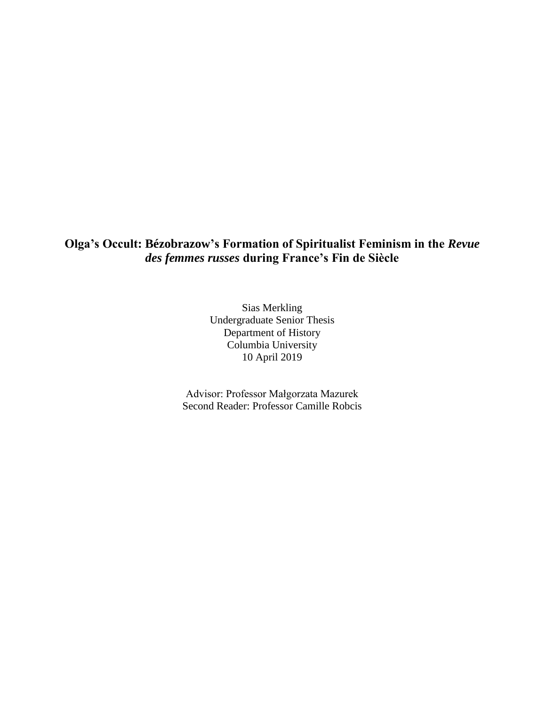# **Olga's Occult: Bézobrazow's Formation of Spiritualist Feminism in the** *Revue des femmes russes* **during France's Fin de Siècle**

Sias Merkling Undergraduate Senior Thesis Department of History Columbia University 10 April 2019

Advisor: Professor Małgorzata Mazurek Second Reader: Professor Camille Robcis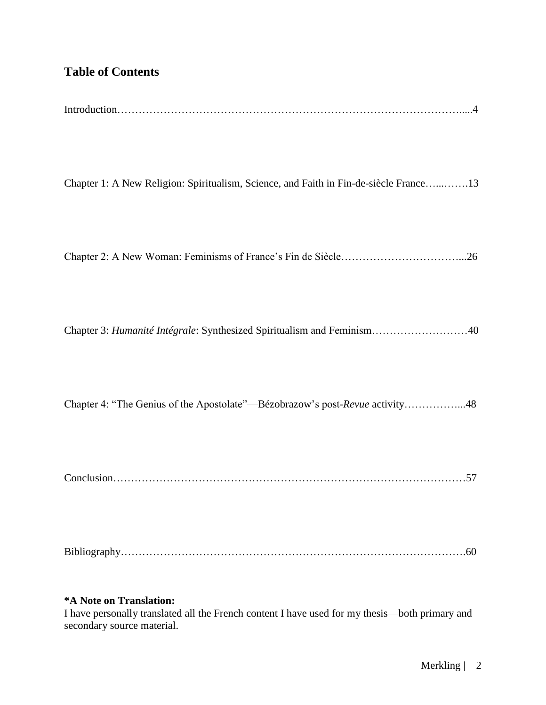# **Table of Contents**

Chapter 1: A New Religion: Spiritualism, Science, and Faith in Fin-de-siècle France…...…….13

Chapter 2: A New Woman: Feminisms of France's Fin de Siècle……………………………...26

Chapter 3: *Humanité Intégrale*: Synthesized Spiritualism and Feminism………………………40

Chapter 4: "The Genius of the Apostolate"––Bézobrazow's post-*Revue* activity……………...48

Conclusion………………………………………………………………………………………57

Bibliography…………………………………………………………………………………….60

### **\*A Note on Translation:**

I have personally translated all the French content I have used for my thesis––both primary and secondary source material.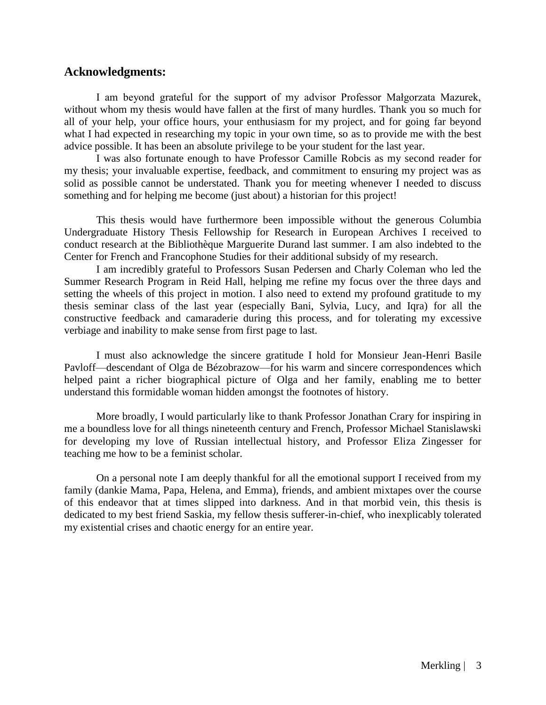## **Acknowledgments:**

I am beyond grateful for the support of my advisor Professor Małgorzata Mazurek, without whom my thesis would have fallen at the first of many hurdles. Thank you so much for all of your help, your office hours, your enthusiasm for my project, and for going far beyond what I had expected in researching my topic in your own time, so as to provide me with the best advice possible. It has been an absolute privilege to be your student for the last year.

I was also fortunate enough to have Professor Camille Robcis as my second reader for my thesis; your invaluable expertise, feedback, and commitment to ensuring my project was as solid as possible cannot be understated. Thank you for meeting whenever I needed to discuss something and for helping me become (just about) a historian for this project!

This thesis would have furthermore been impossible without the generous Columbia Undergraduate History Thesis Fellowship for Research in European Archives I received to conduct research at the Bibliothèque Marguerite Durand last summer. I am also indebted to the Center for French and Francophone Studies for their additional subsidy of my research.

I am incredibly grateful to Professors Susan Pedersen and Charly Coleman who led the Summer Research Program in Reid Hall, helping me refine my focus over the three days and setting the wheels of this project in motion. I also need to extend my profound gratitude to my thesis seminar class of the last year (especially Bani, Sylvia, Lucy, and Iqra) for all the constructive feedback and camaraderie during this process, and for tolerating my excessive verbiage and inability to make sense from first page to last.

I must also acknowledge the sincere gratitude I hold for Monsieur Jean-Henri Basile Pavloff––descendant of Olga de Bézobrazow––for his warm and sincere correspondences which helped paint a richer biographical picture of Olga and her family, enabling me to better understand this formidable woman hidden amongst the footnotes of history.

More broadly, I would particularly like to thank Professor Jonathan Crary for inspiring in me a boundless love for all things nineteenth century and French, Professor Michael Stanislawski for developing my love of Russian intellectual history, and Professor Eliza Zingesser for teaching me how to be a feminist scholar.

On a personal note I am deeply thankful for all the emotional support I received from my family (dankie Mama, Papa, Helena, and Emma), friends, and ambient mixtapes over the course of this endeavor that at times slipped into darkness. And in that morbid vein, this thesis is dedicated to my best friend Saskia, my fellow thesis sufferer-in-chief, who inexplicably tolerated my existential crises and chaotic energy for an entire year.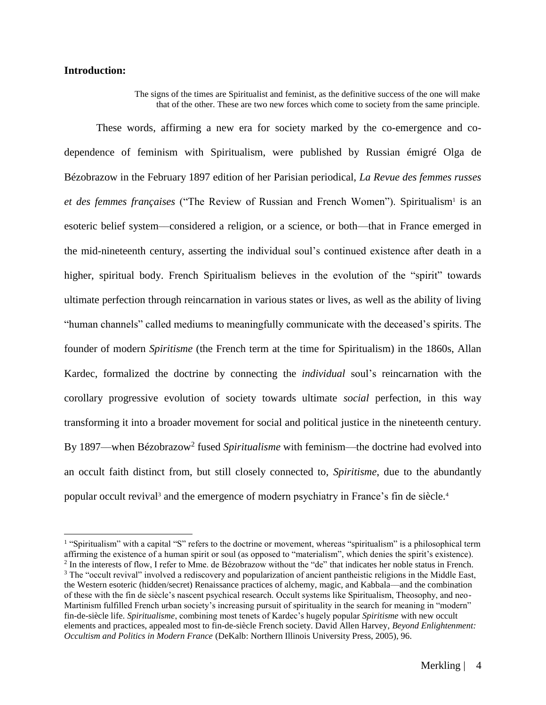#### **Introduction:**

The signs of the times are Spiritualist and feminist, as the definitive success of the one will make that of the other. These are two new forces which come to society from the same principle.

These words, affirming a new era for society marked by the co-emergence and codependence of feminism with Spiritualism, were published by Russian émigré Olga de Bézobrazow in the February 1897 edition of her Parisian periodical, *La Revue des femmes russes*  et des femmes françaises ("The Review of Russian and French Women"). Spiritualism<sup>1</sup> is an esoteric belief system––considered a religion, or a science, or both––that in France emerged in the mid-nineteenth century, asserting the individual soul's continued existence after death in a higher, spiritual body. French Spiritualism believes in the evolution of the "spirit" towards ultimate perfection through reincarnation in various states or lives, as well as the ability of living "human channels" called mediums to meaningfully communicate with the deceased's spirits. The founder of modern *Spiritisme* (the French term at the time for Spiritualism) in the 1860s, Allan Kardec, formalized the doctrine by connecting the *individual* soul's reincarnation with the corollary progressive evolution of society towards ultimate *social* perfection, in this way transforming it into a broader movement for social and political justice in the nineteenth century. By 1897—when Bézobrazow<sup>2</sup> fused *Spiritualisme* with feminism—the doctrine had evolved into an occult faith distinct from, but still closely connected to, *Spiritisme*, due to the abundantly popular occult revival<sup>3</sup> and the emergence of modern psychiatry in France's fin de siècle.<sup>4</sup>

<sup>&</sup>lt;sup>1</sup> "Spiritualism" with a capital "S" refers to the doctrine or movement, whereas "spiritualism" is a philosophical term affirming the existence of a human spirit or soul (as opposed to "materialism", which denies the spirit's existence). <sup>2</sup> In the interests of flow, I refer to Mme. de Bézobrazow without the "de" that indicates her noble status in French.

<sup>&</sup>lt;sup>3</sup> The "occult revival" involved a rediscovery and popularization of ancient pantheistic religions in the Middle East, the Western esoteric (hidden/secret) Renaissance practices of alchemy, magic, and Kabbala––and the combination of these with the fin de siècle's nascent psychical research. Occult systems like Spiritualism, Theosophy, and neo-Martinism fulfilled French urban society's increasing pursuit of spirituality in the search for meaning in "modern" fin-de-siècle life. *Spiritualisme*, combining most tenets of Kardec's hugely popular *Spiritisme* with new occult elements and practices, appealed most to fin-de-siècle French society. David Allen Harvey, *Beyond Enlightenment: Occultism and Politics in Modern France* (DeKalb: Northern Illinois University Press, 2005), 96.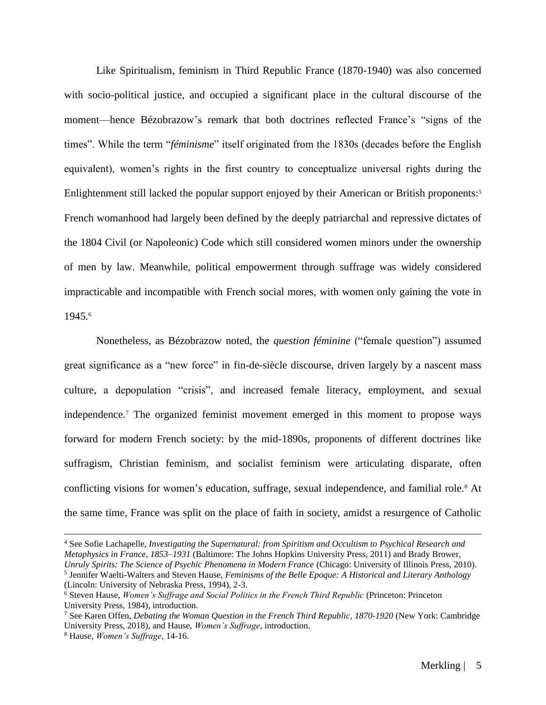Like Spiritualism, feminism in Third Republic France (1870-1940) was also concerned with socio-political justice, and occupied a significant place in the cultural discourse of the moment––hence Bézobrazow's remark that both doctrines reflected France's "signs of the times". While the term "*féminisme*" itself originated from the 1830s (decades before the English equivalent), women's rights in the first country to conceptualize universal rights during the Enlightenment still lacked the popular support enjoyed by their American or British proponents: 5 French womanhood had largely been defined by the deeply patriarchal and repressive dictates of the 1804 Civil (or Napoleonic) Code which still considered women minors under the ownership of men by law. Meanwhile, political empowerment through suffrage was widely considered impracticable and incompatible with French social mores, with women only gaining the vote in 1945.<sup>6</sup>

Nonetheless, as Bézobrazow noted, the *question féminine* ("female question") assumed great significance as a "new force" in fin-de-siècle discourse, driven largely by a nascent mass culture, a depopulation "crisis", and increased female literacy, employment, and sexual independence. <sup>7</sup> The organized feminist movement emerged in this moment to propose ways forward for modern French society: by the mid-1890s, proponents of different doctrines like suffragism, Christian feminism, and socialist feminism were articulating disparate, often conflicting visions for women's education, suffrage, sexual independence, and familial role.<sup>8</sup> At the same time, France was split on the place of faith in society, amidst a resurgence of Catholic

<sup>4</sup> See Sofie Lachapelle, *Investigating the Supernatural: from Spiritism and Occultism to Psychical Research and Metaphysics in France, 1853–1931* (Baltimore: The Johns Hopkins University Press, 2011) and Brady Brower, *Unruly Spirits: The Science of Psychic Phenomena in Modern France* (Chicago: University of Illinois Press, 2010). 5 Jennifer Waelti-Walters and Steven Hause, *Feminisms of the Belle Epoque: A Historical and Literary Anthology*

<sup>(</sup>Lincoln: University of Nebraska Press, 1994), 2-3.

<sup>6</sup> Steven Hause, *Women's Suffrage and Social Politics in the French Third Republic* (Princeton: Princeton University Press, 1984), introduction.

<sup>7</sup> See Karen Offen, *Debating the Woman Question in the French Third Republic*, *1870-1920* (New York: Cambridge University Press, 2018), and Hause, *Women's Suffrage*, introduction.

<sup>8</sup> Hause, *Women's Suffrage*, 14-16.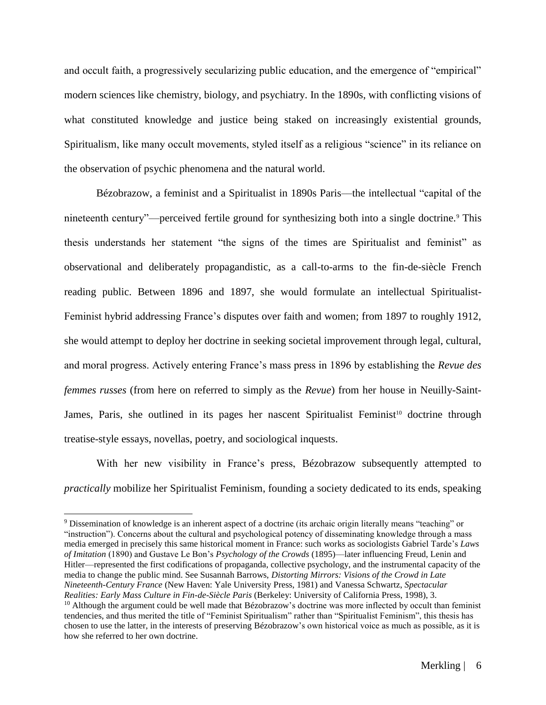and occult faith, a progressively secularizing public education, and the emergence of "empirical" modern sciences like chemistry, biology, and psychiatry. In the 1890s, with conflicting visions of what constituted knowledge and justice being staked on increasingly existential grounds, Spiritualism, like many occult movements, styled itself as a religious "science" in its reliance on the observation of psychic phenomena and the natural world.

Bézobrazow, a feminist and a Spiritualist in 1890s Paris––the intellectual "capital of the nineteenth century"—–perceived fertile ground for synthesizing both into a single doctrine.<sup>9</sup> This thesis understands her statement "the signs of the times are Spiritualist and feminist" as observational and deliberately propagandistic, as a call-to-arms to the fin-de-siècle French reading public. Between 1896 and 1897, she would formulate an intellectual Spiritualist-Feminist hybrid addressing France's disputes over faith and women; from 1897 to roughly 1912, she would attempt to deploy her doctrine in seeking societal improvement through legal, cultural, and moral progress. Actively entering France's mass press in 1896 by establishing the *Revue des femmes russes* (from here on referred to simply as the *Revue*) from her house in Neuilly-Saint-James, Paris, she outlined in its pages her nascent Spiritualist Feminist<sup>10</sup> doctrine through treatise-style essays, novellas, poetry, and sociological inquests.

With her new visibility in France's press, Bézobrazow subsequently attempted to *practically* mobilize her Spiritualist Feminism, founding a society dedicated to its ends, speaking

<sup>9</sup> Dissemination of knowledge is an inherent aspect of a doctrine (its archaic origin literally means "teaching" or "instruction"). Concerns about the cultural and psychological potency of disseminating knowledge through a mass media emerged in precisely this same historical moment in France: such works as sociologists Gabriel Tarde's *Laws of Imitation* (1890) and Gustave Le Bon's *Psychology of the Crowds* (1895)––later influencing Freud, Lenin and Hitler––represented the first codifications of propaganda, collective psychology, and the instrumental capacity of the media to change the public mind. See Susannah Barrows, *Distorting Mirrors: Visions of the Crowd in Late Nineteenth-Century France* (New Haven: Yale University Press, 1981) and Vanessa Schwartz, *Spectacular Realities: Early Mass Culture in Fin-de-Siècle Paris* (Berkeley: University of California Press, 1998), 3.  $10$  Although the argument could be well made that Bézobrazow's doctrine was more inflected by occult than feminist tendencies, and thus merited the title of "Feminist Spiritualism" rather than "Spiritualist Feminism", this thesis has chosen to use the latter, in the interests of preserving Bézobrazow's own historical voice as much as possible, as it is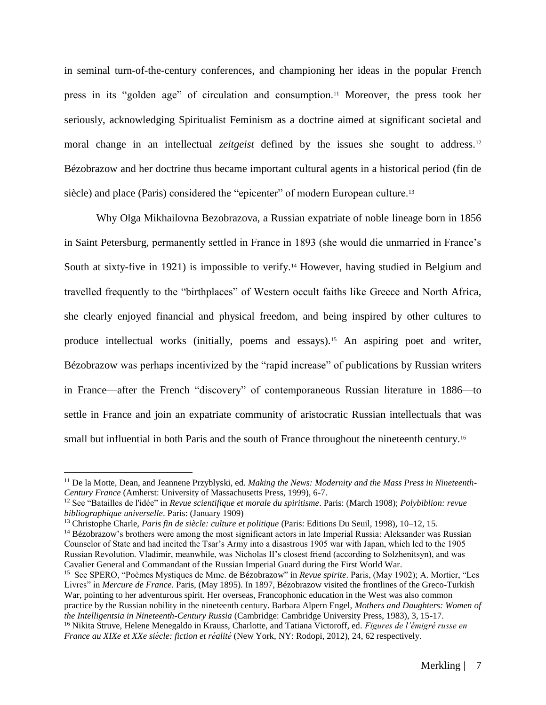in seminal turn-of-the-century conferences, and championing her ideas in the popular French press in its "golden age" of circulation and consumption.<sup>11</sup> Moreover, the press took her seriously, acknowledging Spiritualist Feminism as a doctrine aimed at significant societal and moral change in an intellectual *zeitgeist* defined by the issues she sought to address.<sup>12</sup> Bézobrazow and her doctrine thus became important cultural agents in a historical period (fin de siècle) and place (Paris) considered the "epicenter" of modern European culture.<sup>13</sup>

Why Olga Mikhailovna Bezobrazova, a Russian expatriate of noble lineage born in 1856 in Saint Petersburg, permanently settled in France in 1893 (she would die unmarried in France's South at sixty-five in 1921) is impossible to verify.<sup>14</sup> However, having studied in Belgium and travelled frequently to the "birthplaces" of Western occult faiths like Greece and North Africa, she clearly enjoyed financial and physical freedom, and being inspired by other cultures to produce intellectual works (initially, poems and essays).<sup>15</sup> An aspiring poet and writer, Bézobrazow was perhaps incentivized by the "rapid increase" of publications by Russian writers in France––after the French "discovery" of contemporaneous Russian literature in 1886––to settle in France and join an expatriate community of aristocratic Russian intellectuals that was small but influential in both Paris and the south of France throughout the nineteenth century.<sup>16</sup>

<sup>11</sup> De la Motte, Dean, and Jeannene Przyblyski, ed. *Making the News: Modernity and the Mass Press in Nineteenth-Century France* (Amherst: University of Massachusetts Press, 1999), 6-7.

<sup>12</sup> See "Batailles de l'idée" in *Revue scientifique et morale du spiritisme*. Paris: (March 1908); *Polybiblion: revue bibliographique universelle*. Paris: (January 1909)

<sup>13</sup> Christophe Charle, *Paris fin de siècle: culture et politique* (Paris: Editions Du Seuil, 1998), 10–12, 15.

<sup>&</sup>lt;sup>14</sup> Bézobrazow's brothers were among the most significant actors in late Imperial Russia: Aleksander was Russian Counselor of State and had incited the Tsar's Army into a disastrous 1905 war with Japan, which led to the 1905 Russian Revolution. Vladimir, meanwhile, was Nicholas II's closest friend (according to Solzhenitsyn), and was Cavalier General and Commandant of the Russian Imperial Guard during the First World War.

<sup>15</sup> See SPERO, "Poèmes Mystiques de Mme. de Bézobrazow" in *Revue spirite*. Paris, (May 1902); A. Mortier, "Les Livres" in *Mercure de France*. Paris, (May 1895)*.* In 1897, Bézobrazow visited the frontlines of the Greco-Turkish War, pointing to her adventurous spirit. Her overseas, Francophonic education in the West was also common practice by the Russian nobility in the nineteenth century. Barbara Alpern Engel, *Mothers and Daughters: Women of the Intelligentsia in Nineteenth-Century Russia* (Cambridge: Cambridge University Press, 1983), 3, 15-17. <sup>16</sup> Nikita Struve, Helene Menegaldo in Krauss, Charlotte, and Tatiana Victoroff, ed. *Figures de l'émigré russe en France au XIXe et XXe siècle: fiction et réalité* (New York, NY: Rodopi, 2012), 24, 62 respectively.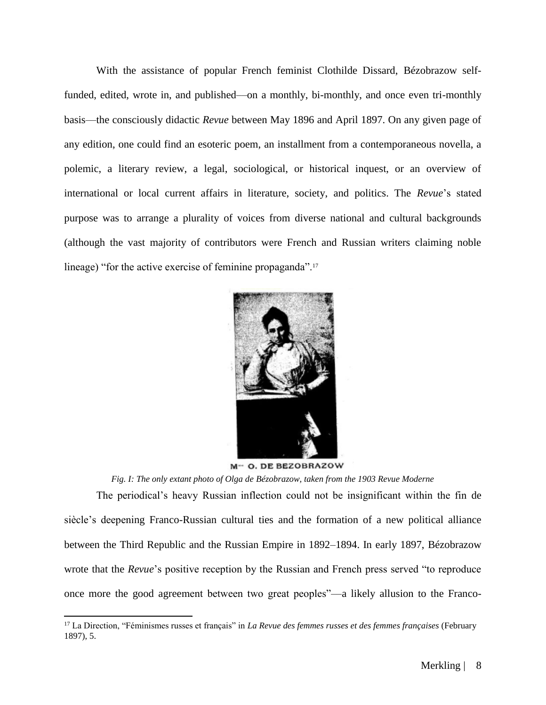With the assistance of popular French feminist Clothilde Dissard, Bézobrazow selffunded, edited, wrote in, and published—on a monthly, bi-monthly, and once even tri-monthly basis––the consciously didactic *Revue* between May 1896 and April 1897. On any given page of any edition, one could find an esoteric poem, an installment from a contemporaneous novella, a polemic, a literary review, a legal, sociological, or historical inquest, or an overview of international or local current affairs in literature, society, and politics. The *Revue*'s stated purpose was to arrange a plurality of voices from diverse national and cultural backgrounds (although the vast majority of contributors were French and Russian writers claiming noble lineage) "for the active exercise of feminine propaganda".<sup>17</sup>



M- O. DE BEZOBRAZOW

*Fig. I: The only extant photo of Olga de Bézobrazow, taken from the 1903 Revue Moderne* 

The periodical's heavy Russian inflection could not be insignificant within the fin de siècle's deepening Franco-Russian cultural ties and the formation of a new political alliance between the Third Republic and the Russian Empire in 1892–1894. In early 1897, Bézobrazow wrote that the *Revue*'s positive reception by the Russian and French press served "to reproduce once more the good agreement between two great peoples"––a likely allusion to the Franco-

<sup>17</sup> La Direction, "Féminismes russes et français" in *La Revue des femmes russes et des femmes françaises* (February 1897), 5.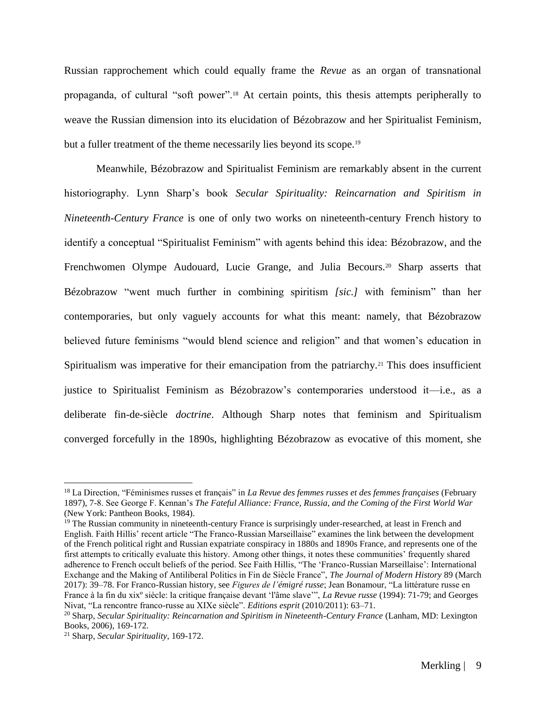Russian rapprochement which could equally frame the *Revue* as an organ of transnational propaganda, of cultural "soft power".<sup>18</sup> At certain points, this thesis attempts peripherally to weave the Russian dimension into its elucidation of Bézobrazow and her Spiritualist Feminism, but a fuller treatment of the theme necessarily lies beyond its scope.<sup>19</sup>

Meanwhile, Bézobrazow and Spiritualist Feminism are remarkably absent in the current historiography. Lynn Sharp's book *Secular Spirituality: Reincarnation and Spiritism in Nineteenth-Century France* is one of only two works on nineteenth-century French history to identify a conceptual "Spiritualist Feminism" with agents behind this idea: Bézobrazow, and the Frenchwomen Olympe Audouard, Lucie Grange, and Julia Becours.<sup>20</sup> Sharp asserts that Bézobrazow "went much further in combining spiritism *[sic.]* with feminism" than her contemporaries, but only vaguely accounts for what this meant: namely, that Bézobrazow believed future feminisms "would blend science and religion" and that women's education in Spiritualism was imperative for their emancipation from the patriarchy.<sup>21</sup> This does insufficient justice to Spiritualist Feminism as Bézobrazow's contemporaries understood it––i.e., as a deliberate fin-de-siècle *doctrine*. Although Sharp notes that feminism and Spiritualism converged forcefully in the 1890s, highlighting Bézobrazow as evocative of this moment, she

<sup>18</sup> La Direction, "Féminismes russes et français" in *La Revue des femmes russes et des femmes françaises* (February 1897), 7-8. See George F. Kennan's *The Fateful Alliance: France, Russia, and the Coming of the First World War*  (New York: Pantheon Books, 1984).

<sup>&</sup>lt;sup>19</sup> The Russian community in nineteenth-century France is surprisingly under-researched, at least in French and English. Faith Hillis' recent article "The Franco-Russian Marseillaise" examines the link between the development of the French political right and Russian expatriate conspiracy in 1880s and 1890s France, and represents one of the first attempts to critically evaluate this history. Among other things, it notes these communities' frequently shared adherence to French occult beliefs of the period. See Faith Hillis, "The 'Franco-Russian Marseillaise': International Exchange and the Making of Antiliberal Politics in Fin de Siècle France", *The Journal of Modern History* 89 (March 2017): 39–78. For Franco-Russian history, see *Figures de l'émigré russe*; Jean Bonamour, "La littérature russe en France à la fin du xixº siècle: la critique française devant 'l'âme slave'", *La Revue russe* (1994): 71-79; and Georges Nivat, "La rencontre franco-russe au XIXe siècle". *Editions esprit* (2010/2011): 63–71.

<sup>20</sup> Sharp, *Secular Spirituality: Reincarnation and Spiritism in Nineteenth-Century France* (Lanham, MD: Lexington Books, 2006), 169-172.

<sup>21</sup> Sharp, *Secular Spirituality*, 169-172.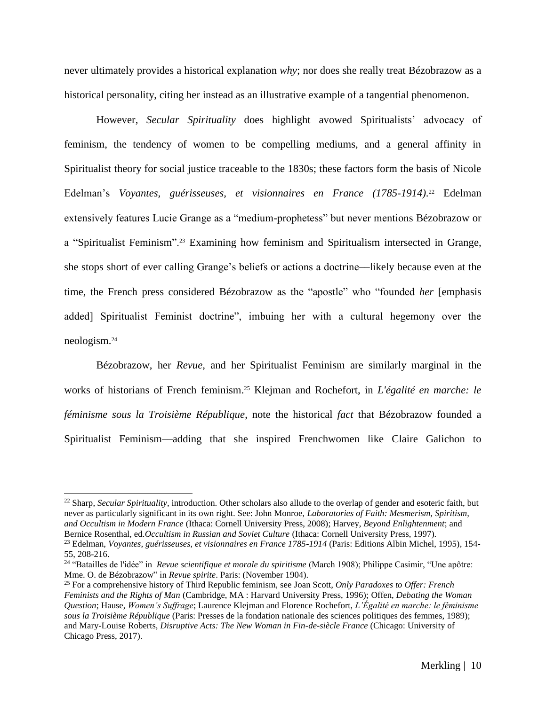never ultimately provides a historical explanation *why*; nor does she really treat Bézobrazow as a historical personality, citing her instead as an illustrative example of a tangential phenomenon.

However, *Secular Spirituality* does highlight avowed Spiritualists' advocacy of feminism, the tendency of women to be compelling mediums, and a general affinity in Spiritualist theory for social justice traceable to the 1830s; these factors form the basis of Nicole Edelman's Voyantes, guérisseuses, et visionnaires en France (1785-1914).<sup>22</sup> Edelman extensively features Lucie Grange as a "medium-prophetess" but never mentions Bézobrazow or a "Spiritualist Feminism".<sup>23</sup> Examining how feminism and Spiritualism intersected in Grange, she stops short of ever calling Grange's beliefs or actions a doctrine––likely because even at the time, the French press considered Bézobrazow as the "apostle" who "founded *her* [emphasis added] Spiritualist Feminist doctrine", imbuing her with a cultural hegemony over the neologism.<sup>24</sup>

Bézobrazow, her *Revue*, and her Spiritualist Feminism are similarly marginal in the works of historians of French feminism.<sup>25</sup> Klejman and Rochefort, in *L'égalité en marche: le féminisme sous la Troisième République*, note the historical *fact* that Bézobrazow founded a Spiritualist Feminism––adding that she inspired Frenchwomen like Claire Galichon to

<sup>22</sup> Sharp, *Secular Spirituality*, introduction. Other scholars also allude to the overlap of gender and esoteric faith, but never as particularly significant in its own right. See: John Monroe, *Laboratories of Faith: Mesmerism, Spiritism, and Occultism in Modern France* (Ithaca: Cornell University Press, 2008); Harvey, *Beyond Enlightenment*; and Bernice Rosenthal, ed.*Occultism in Russian and Soviet Culture* (Ithaca: Cornell University Press, 1997).

<sup>23</sup> Edelman, *Voyantes, guérisseuses, et visionnaires en France 1785-1914* (Paris: Editions Albin Michel, 1995), 154- 55, 208-216.

<sup>&</sup>lt;sup>24</sup> "Batailles de l'idée" in *Revue scientifique et morale du spiritisme* (March 1908); Philippe Casimir, "Une apôtre: Mme. O. de Bézobrazow" in *Revue spirite*. Paris: (November 1904).

<sup>25</sup> For a comprehensive history of Third Republic feminism, see Joan Scott, *Only Paradoxes to Offer: French Feminists and the Rights of Man* (Cambridge, MA : Harvard University Press, 1996); Offen, *Debating the Woman Question*; Hause, *Women's Suffrage*; Laurence Klejman and Florence Rochefort, *L'Égalité en marche: le féminisme sous la Troisième République* (Paris: Presses de la fondation nationale des sciences politiques des femmes, 1989); and Mary-Louise Roberts, *Disruptive Acts: The New Woman in Fin-de-siècle France* (Chicago: University of Chicago Press, 2017).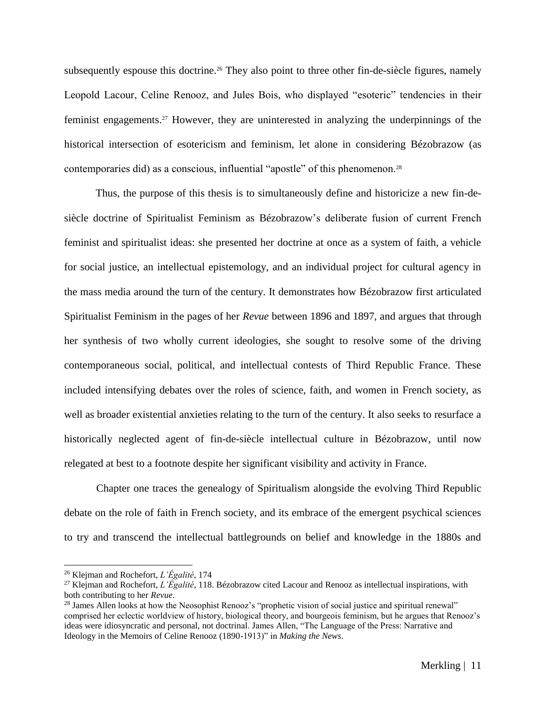subsequently espouse this doctrine.<sup>26</sup> They also point to three other fin-de-siècle figures, namely Leopold Lacour, Celine Renooz, and Jules Bois, who displayed "esoteric" tendencies in their feminist engagements.<sup>27</sup> However, they are uninterested in analyzing the underpinnings of the historical intersection of esotericism and feminism, let alone in considering Bézobrazow (as contemporaries did) as a conscious, influential "apostle" of this phenomenon.<sup>28</sup>

Thus, the purpose of this thesis is to simultaneously define and historicize a new fin-desiècle doctrine of Spiritualist Feminism as Bézobrazow's deliberate fusion of current French feminist and spiritualist ideas: she presented her doctrine at once as a system of faith, a vehicle for social justice, an intellectual epistemology, and an individual project for cultural agency in the mass media around the turn of the century. It demonstrates how Bézobrazow first articulated Spiritualist Feminism in the pages of her *Revue* between 1896 and 1897, and argues that through her synthesis of two wholly current ideologies, she sought to resolve some of the driving contemporaneous social, political, and intellectual contests of Third Republic France. These included intensifying debates over the roles of science, faith, and women in French society, as well as broader existential anxieties relating to the turn of the century. It also seeks to resurface a historically neglected agent of fin-de-siècle intellectual culture in Bézobrazow, until now relegated at best to a footnote despite her significant visibility and activity in France.

Chapter one traces the genealogy of Spiritualism alongside the evolving Third Republic debate on the role of faith in French society, and its embrace of the emergent psychical sciences to try and transcend the intellectual battlegrounds on belief and knowledge in the 1880s and

<sup>26</sup> Klejman and Rochefort, *L'Égalité*, 174

<sup>27</sup> Klejman and Rochefort, *L'Égalité*, 118. Bézobrazow cited Lacour and Renooz as intellectual inspirations, with both contributing to her *Revue*.

<sup>&</sup>lt;sup>28</sup> James Allen looks at how the Neosophist Renooz's "prophetic vision of social justice and spiritual renewal" comprised her eclectic worldview of history, biological theory, and bourgeois feminism, but he argues that Renooz's ideas were idiosyncratic and personal, not doctrinal. James Allen, "The Language of the Press: Narrative and Ideology in the Memoirs of Celine Renooz (1890-1913)" in *Making the News*.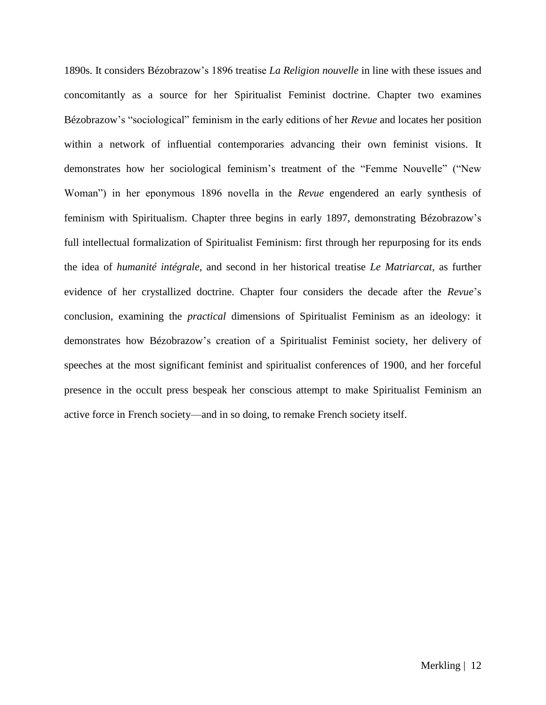1890s. It considers Bézobrazow's 1896 treatise *La Religion nouvelle* in line with these issues and concomitantly as a source for her Spiritualist Feminist doctrine. Chapter two examines Bézobrazow's "sociological" feminism in the early editions of her *Revue* and locates her position within a network of influential contemporaries advancing their own feminist visions*.* It demonstrates how her sociological feminism's treatment of the "Femme Nouvelle" ("New Woman") in her eponymous 1896 novella in the *Revue* engendered an early synthesis of feminism with Spiritualism. Chapter three begins in early 1897, demonstrating Bézobrazow's full intellectual formalization of Spiritualist Feminism: first through her repurposing for its ends the idea of *humanité intégrale*, and second in her historical treatise *Le Matriarcat*, as further evidence of her crystallized doctrine. Chapter four considers the decade after the *Revue*'s conclusion, examining the *practical* dimensions of Spiritualist Feminism as an ideology: it demonstrates how Bézobrazow's creation of a Spiritualist Feminist society, her delivery of speeches at the most significant feminist and spiritualist conferences of 1900, and her forceful presence in the occult press bespeak her conscious attempt to make Spiritualist Feminism an active force in French society––and in so doing, to remake French society itself.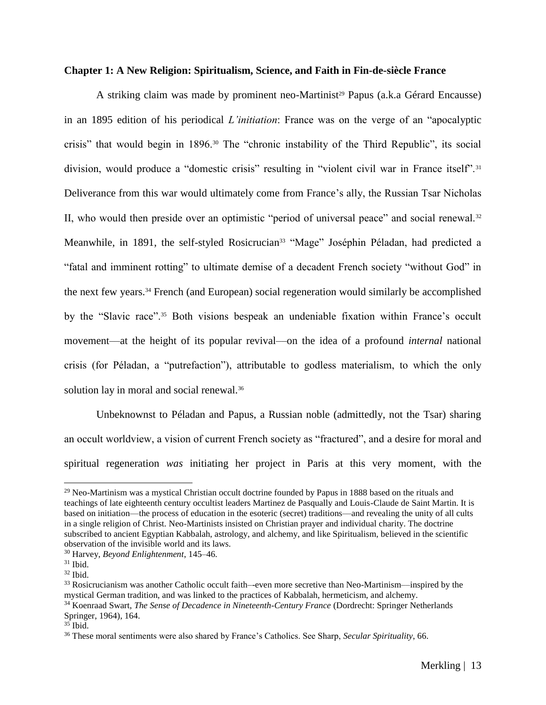#### **Chapter 1: A New Religion: Spiritualism, Science, and Faith in Fin-de-siècle France**

A striking claim was made by prominent neo-Martinist<sup>29</sup> Papus (a.k.a Gérard Encausse) in an 1895 edition of his periodical *L'initiation*: France was on the verge of an "apocalyptic crisis" that would begin in 1896.<sup>30</sup> The "chronic instability of the Third Republic", its social division, would produce a "domestic crisis" resulting in "violent civil war in France itself".<sup>31</sup> Deliverance from this war would ultimately come from France's ally, the Russian Tsar Nicholas II, who would then preside over an optimistic "period of universal peace" and social renewal.<sup>32</sup> Meanwhile, in 1891, the self-styled Rosicrucian<sup>33</sup> "Mage" Joséphin Péladan, had predicted a "fatal and imminent rotting" to ultimate demise of a decadent French society "without God" in the next few years.<sup>34</sup> French (and European) social regeneration would similarly be accomplished by the "Slavic race".<sup>35</sup> Both visions bespeak an undeniable fixation within France's occult movement––at the height of its popular revival––on the idea of a profound *internal* national crisis (for Péladan, a "putrefaction"), attributable to godless materialism, to which the only solution lay in moral and social renewal.<sup>36</sup>

Unbeknownst to Péladan and Papus, a Russian noble (admittedly, not the Tsar) sharing an occult worldview, a vision of current French society as "fractured", and a desire for moral and spiritual regeneration *was* initiating her project in Paris at this very moment, with the

 $29$  Neo-Martinism was a mystical Christian occult doctrine founded by Papus in 1888 based on the rituals and teachings of late eighteenth century occultist leaders Martinez de Pasqually and Louis-Claude de Saint Martin. It is based on initiation––the process of education in the esoteric (secret) traditions––and revealing the unity of all cults in a single religion of Christ. Neo-Martinists insisted on Christian prayer and individual charity. The doctrine subscribed to ancient Egyptian Kabbalah, astrology, and alchemy, and like Spiritualism, believed in the scientific observation of the invisible world and its laws.

<sup>30</sup> Harvey, *Beyond Enlightenment*, 145–46.

 $31$  Ibid.

 $32$  Ibid.

<sup>33</sup> Rosicrucianism was another Catholic occult faith–-even more secretive than Neo-Martinism––inspired by the mystical German tradition, and was linked to the practices of Kabbalah, hermeticism, and alchemy.

<sup>34</sup> Koenraad Swart, *The Sense of Decadence in Nineteenth-Century France* (Dordrecht: Springer Netherlands Springer, 1964), 164.

 $35$  Ibid.

<sup>36</sup> These moral sentiments were also shared by France's Catholics. See Sharp, *Secular Spirituality*, 66.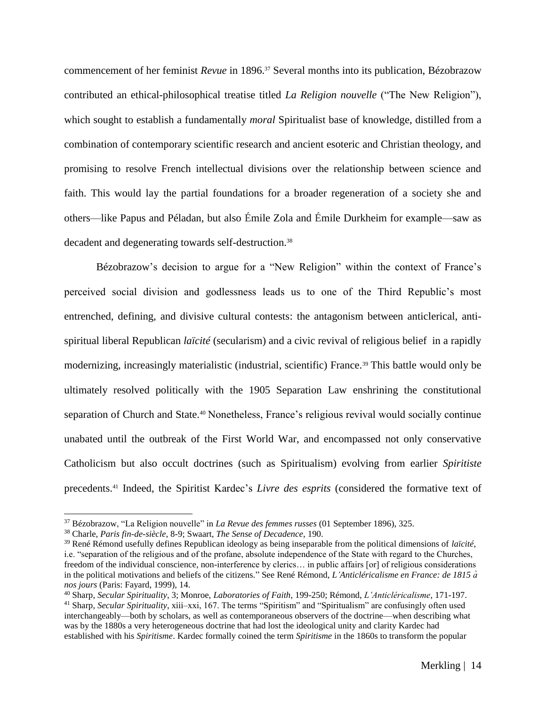commencement of her feminist *Revue* in 1896.<sup>37</sup> Several months into its publication, Bézobrazow contributed an ethical-philosophical treatise titled *La Religion nouvelle* ("The New Religion"), which sought to establish a fundamentally *moral* Spiritualist base of knowledge, distilled from a combination of contemporary scientific research and ancient esoteric and Christian theology, and promising to resolve French intellectual divisions over the relationship between science and faith. This would lay the partial foundations for a broader regeneration of a society she and others––like Papus and Péladan, but also Émile Zola and Émile Durkheim for example––saw as decadent and degenerating towards self-destruction.<sup>38</sup>

Bézobrazow's decision to argue for a "New Religion" within the context of France's perceived social division and godlessness leads us to one of the Third Republic's most entrenched, defining, and divisive cultural contests: the antagonism between anticlerical, antispiritual liberal Republican *laïcité* (secularism) and a civic revival of religious belief in a rapidly modernizing, increasingly materialistic (industrial, scientific) France.<sup>39</sup> This battle would only be ultimately resolved politically with the 1905 Separation Law enshrining the constitutional separation of Church and State.<sup>40</sup> Nonetheless, France's religious revival would socially continue unabated until the outbreak of the First World War, and encompassed not only conservative Catholicism but also occult doctrines (such as Spiritualism) evolving from earlier *Spiritiste*  precedents.<sup>41</sup> Indeed, the Spiritist Kardec's *Livre des esprits* (considered the formative text of

<sup>37</sup> Bézobrazow, "La Religion nouvelle" in *La Revue des femmes russes* (01 September 1896), 325.

<sup>38</sup> Charle, *Paris fin-de-siècle*, 8-9; Swaart, *The Sense of Decadence*, 190.

<sup>39</sup> René Rémond usefully defines Republican ideology as being inseparable from the political dimensions of *laïcité*, i.e. "separation of the religious and of the profane, absolute independence of the State with regard to the Churches, freedom of the individual conscience, non-interference by clerics… in public affairs [or] of religious considerations in the political motivations and beliefs of the citizens." See René Rémond, *L'Anticléricalisme en France: de 1815 à nos jours* (Paris: Fayard, 1999), 14.

<sup>40</sup> Sharp, *Secular Spirituality*, 3; Monroe, *Laboratories of Faith*, 199-250; Rémond, *L'Anticléricalisme*, 171-197.

<sup>&</sup>lt;sup>41</sup> Sharp, *Secular Spirituality*, xiii–xxi, 167. The terms "Spiritism" and "Spiritualism" are confusingly often used interchangeably––both by scholars, as well as contemporaneous observers of the doctrine––when describing what was by the 1880s a very heterogeneous doctrine that had lost the ideological unity and clarity Kardec had established with his *Spiritisme*. Kardec formally coined the term *Spiritisme* in the 1860s to transform the popular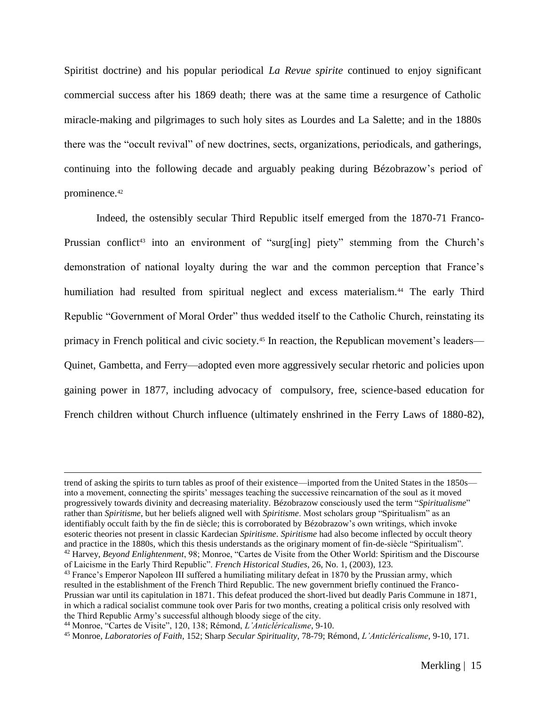Spiritist doctrine) and his popular periodical *La Revue spirite* continued to enjoy significant commercial success after his 1869 death; there was at the same time a resurgence of Catholic miracle-making and pilgrimages to such holy sites as Lourdes and La Salette; and in the 1880s there was the "occult revival" of new doctrines, sects, organizations, periodicals, and gatherings, continuing into the following decade and arguably peaking during Bézobrazow's period of prominence.<sup>42</sup>

Indeed, the ostensibly secular Third Republic itself emerged from the 1870-71 Franco-Prussian conflict<sup>43</sup> into an environment of "surg[ing] piety" stemming from the Church's demonstration of national loyalty during the war and the common perception that France's humiliation had resulted from spiritual neglect and excess materialism.<sup>44</sup> The early Third Republic "Government of Moral Order" thus wedded itself to the Catholic Church, reinstating its primacy in French political and civic society.<sup>45</sup> In reaction, the Republican movement's leaders— Quinet, Gambetta, and Ferry—adopted even more aggressively secular rhetoric and policies upon gaining power in 1877, including advocacy of compulsory, free, science-based education for French children without Church influence (ultimately enshrined in the Ferry Laws of 1880-82),

trend of asking the spirits to turn tables as proof of their existence––imported from the United States in the 1850s–– into a movement, connecting the spirits' messages teaching the successive reincarnation of the soul as it moved progressively towards divinity and decreasing materiality. Bézobrazow consciously used the term "*Spiritualisme*" rather than *Spiritisme*, but her beliefs aligned well with *Spiritisme*. Most scholars group "Spiritualism" as an identifiably occult faith by the fin de siècle; this is corroborated by Bézobrazow's own writings, which invoke esoteric theories not present in classic Kardecian *Spiritisme*. *Spiritisme* had also become inflected by occult theory and practice in the 1880s, which this thesis understands as the originary moment of fin-de-siècle "Spiritualism". <sup>42</sup> Harvey, *Beyond Enlightenment*, 98; Monroe, "Cartes de Visite from the Other World: Spiritism and the Discourse of Laicisme in the Early Third Republic". *French Historical Studies*, 26, No. 1, (2003), 123.

<sup>&</sup>lt;sup>43</sup> France's Emperor Napoleon III suffered a humiliating military defeat in 1870 by the Prussian army, which resulted in the establishment of the French Third Republic. The new government briefly continued the Franco-Prussian war until its capitulation in 1871. This defeat produced the short-lived but deadly Paris Commune in 1871, in which a radical socialist commune took over Paris for two months, creating a political crisis only resolved with the Third Republic Army's successful although bloody siege of the city.

<sup>44</sup> Monroe, "Cartes de Visite", 120, 138; Rémond, *L'Anticléricalisme*, 9-10.

<sup>45</sup> Monroe, *Laboratories of Faith*, 152; Sharp *Secular Spirituality*, 78-79; Rémond, *L'Anticléricalisme*, 9-10, 171.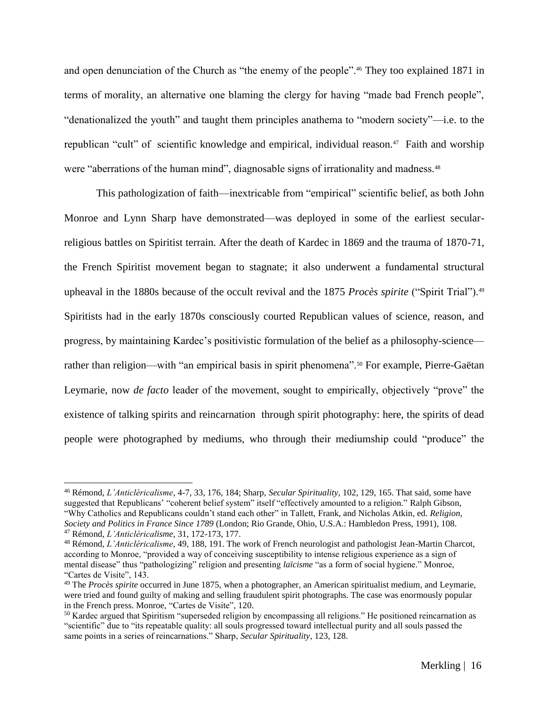and open denunciation of the Church as "the enemy of the people".<sup>46</sup> They too explained 1871 in terms of morality, an alternative one blaming the clergy for having "made bad French people", "denationalized the youth" and taught them principles anathema to "modern society"—i.e. to the republican "cult" of scientific knowledge and empirical, individual reason.<sup>47</sup> Faith and worship were "aberrations of the human mind", diagnosable signs of irrationality and madness.<sup>48</sup>

This pathologization of faith—inextricable from "empirical" scientific belief, as both John Monroe and Lynn Sharp have demonstrated––was deployed in some of the earliest secularreligious battles on Spiritist terrain. After the death of Kardec in 1869 and the trauma of 1870-71, the French Spiritist movement began to stagnate; it also underwent a fundamental structural upheaval in the 1880s because of the occult revival and the 1875 *Procès spirite* ("Spirit Trial").<sup>49</sup> Spiritists had in the early 1870s consciously courted Republican values of science, reason, and progress, by maintaining Kardec's positivistic formulation of the belief as a philosophy-science–– rather than religion—with "an empirical basis in spirit phenomena".<sup>50</sup> For example, Pierre-Gaëtan Leymarie, now *de facto* leader of the movement, sought to empirically, objectively "prove" the existence of talking spirits and reincarnation through spirit photography: here, the spirits of dead people were photographed by mediums, who through their mediumship could "produce" the

<sup>46</sup> Rémond, *L'Anticléricalisme*, 4-7, 33, 176, 184; Sharp, *Secular Spirituality*, 102, 129, 165. That said, some have suggested that Republicans' "coherent belief system" itself "effectively amounted to a religion." Ralph Gibson, "Why Catholics and Republicans couldn't stand each other" in Tallett, Frank, and Nicholas Atkin, ed. *Religion, Society and Politics in France Since 1789* (London; Rio Grande, Ohio, U.S.A.: Hambledon Press, 1991), 108.

<sup>47</sup> Rémond, *L'Anticléricalisme*, 31, 172-173, 177.

<sup>48</sup> Rémond, *L'Anticléricalisme*, 49, 188, 191. The work of French neurologist and pathologist Jean-Martin Charcot, according to Monroe, "provided a way of conceiving susceptibility to intense religious experience as a sign of mental disease" thus "pathologizing" religion and presenting *laïcisme* "as a form of social hygiene." Monroe, "Cartes de Visite", 143.

<sup>49</sup> The *Procès spirite* occurred in June 1875, when a photographer, an American spiritualist medium, and Leymarie, were tried and found guilty of making and selling fraudulent spirit photographs. The case was enormously popular in the French press. Monroe, "Cartes de Visite", 120.

<sup>&</sup>lt;sup>50</sup> Kardec argued that Spiritism "superseded religion by encompassing all religions." He positioned reincarnation as "scientific" due to "its repeatable quality: all souls progressed toward intellectual purity and all souls passed the same points in a series of reincarnations." Sharp, *Secular Spirituality*, 123, 128.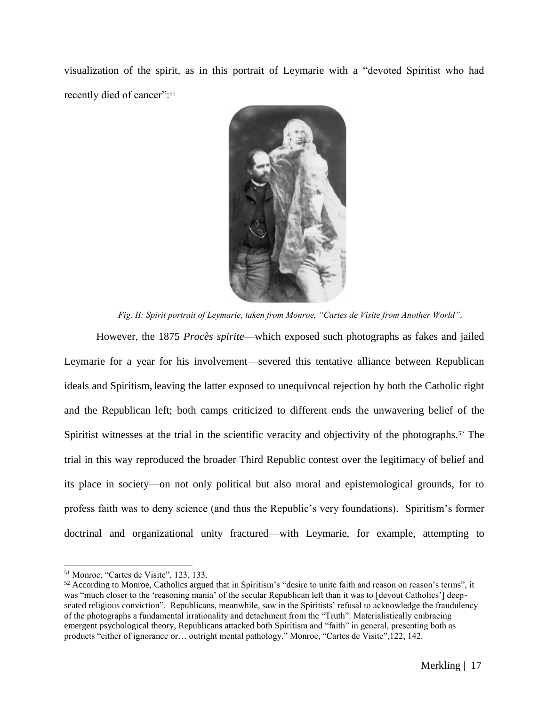visualization of the spirit, as in this portrait of Leymarie with a "devoted Spiritist who had recently died of cancer":<sup>51</sup>



*Fig. II: Spirit portrait of Leymarie, taken from Monroe, "Cartes de Visite from Another World".*

However, the 1875 *Procès spirite*––which exposed such photographs as fakes and jailed Leymarie for a year for his involvement––severed this tentative alliance between Republican ideals and Spiritism, leaving the latter exposed to unequivocal rejection by both the Catholic right and the Republican left; both camps criticized to different ends the unwavering belief of the Spiritist witnesses at the trial in the scientific veracity and objectivity of the photographs.<sup>52</sup> The trial in this way reproduced the broader Third Republic contest over the legitimacy of belief and its place in society––on not only political but also moral and epistemological grounds, for to profess faith was to deny science (and thus the Republic's very foundations). Spiritism's former doctrinal and organizational unity fractured––with Leymarie, for example, attempting to

<sup>51</sup> Monroe, "Cartes de Visite", 123, 133.

 $52$  According to Monroe, Catholics argued that in Spiritism's "desire to unite faith and reason on reason's terms", it was "much closer to the 'reasoning mania' of the secular Republican left than it was to [devout Catholics'] deepseated religious conviction". Republicans, meanwhile, saw in the Spiritists' refusal to acknowledge the fraudulency of the photographs a fundamental irrationality and detachment from the "Truth". Materialistically embracing emergent psychological theory, Republicans attacked both Spiritism and "faith" in general, presenting both as products "either of ignorance or… outright mental pathology." Monroe, "Cartes de Visite",122, 142.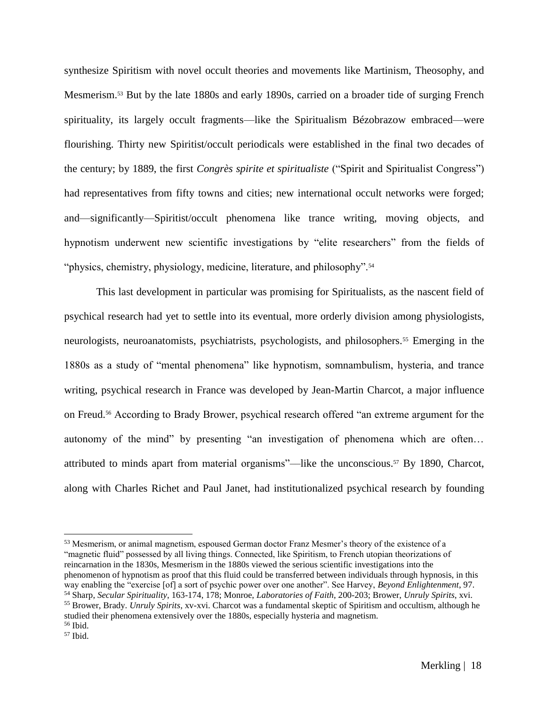synthesize Spiritism with novel occult theories and movements like Martinism, Theosophy, and Mesmerism.<sup>53</sup> But by the late 1880s and early 1890s, carried on a broader tide of surging French spirituality, its largely occult fragments––like the Spiritualism Bézobrazow embraced––were flourishing. Thirty new Spiritist/occult periodicals were established in the final two decades of the century; by 1889, the first *Congrès spirite et spiritualiste* ("Spirit and Spiritualist Congress") had representatives from fifty towns and cities; new international occult networks were forged; and—significantly—Spiritist/occult phenomena like trance writing, moving objects, and hypnotism underwent new scientific investigations by "elite researchers" from the fields of "physics, chemistry, physiology, medicine, literature, and philosophy".<sup>54</sup>

This last development in particular was promising for Spiritualists, as the nascent field of psychical research had yet to settle into its eventual, more orderly division among physiologists, neurologists, neuroanatomists, psychiatrists, psychologists, and philosophers.<sup>55</sup> Emerging in the 1880s as a study of "mental phenomena" like hypnotism, somnambulism, hysteria, and trance writing, psychical research in France was developed by Jean-Martin Charcot, a major influence on Freud.<sup>56</sup> According to Brady Brower, psychical research offered "an extreme argument for the autonomy of the mind" by presenting "an investigation of phenomena which are often… attributed to minds apart from material organisms"––like the unconscious.<sup>57</sup> By 1890, Charcot, along with Charles Richet and Paul Janet, had institutionalized psychical research by founding

studied their phenomena extensively over the 1880s, especially hysteria and magnetism. <sup>56</sup> Ibid.

<sup>&</sup>lt;sup>53</sup> Mesmerism, or animal magnetism, espoused German doctor Franz Mesmer's theory of the existence of a "magnetic fluid" possessed by all living things. Connected, like Spiritism, to French utopian theorizations of reincarnation in the 1830s, Mesmerism in the 1880s viewed the serious scientific investigations into the phenomenon of hypnotism as proof that this fluid could be transferred between individuals through hypnosis, in this way enabling the "exercise [of] a sort of psychic power over one another". See Harvey, *Beyond Enlightenment*, 97. <sup>54</sup> Sharp, *Secular Spirituality*, 163-174, 178; Monroe, *Laboratories of Faith*, 200-203; Brower, *Unruly Spirits*, xvi. <sup>55</sup> Brower, Brady. *Unruly Spirits*, xv-xvi. Charcot was a fundamental skeptic of Spiritism and occultism, although he

<sup>57</sup> Ibid.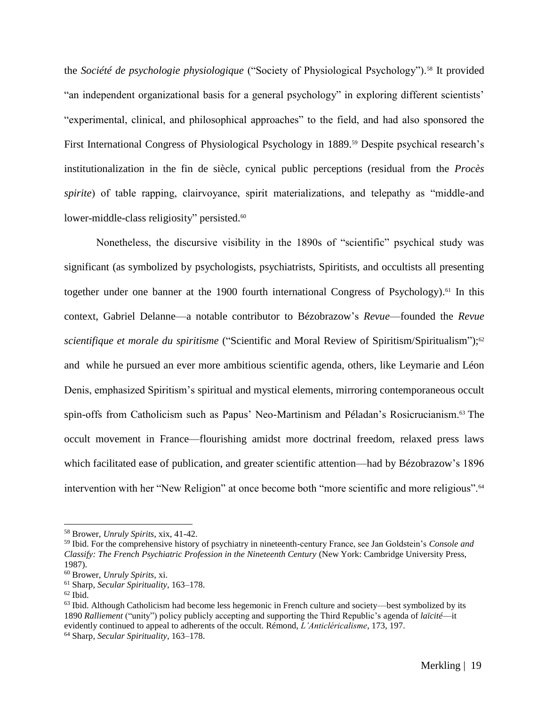the *Société de psychologie physiologique* ("Society of Physiological Psychology").<sup>58</sup> It provided "an independent organizational basis for a general psychology" in exploring different scientists' "experimental, clinical, and philosophical approaches" to the field, and had also sponsored the First International Congress of Physiological Psychology in 1889.<sup>59</sup> Despite psychical research's institutionalization in the fin de siècle, cynical public perceptions (residual from the *Procès spirite*) of table rapping, clairvoyance, spirit materializations, and telepathy as "middle-and lower-middle-class religiosity" persisted.<sup>60</sup>

Nonetheless, the discursive visibility in the 1890s of "scientific" psychical study was significant (as symbolized by psychologists, psychiatrists, Spiritists, and occultists all presenting together under one banner at the 1900 fourth international Congress of Psychology). <sup>61</sup> In this context, Gabriel Delanne––a notable contributor to Bézobrazow's *Revue*––founded the *Revue scientifique et morale du spiritisme* ("Scientific and Moral Review of Spiritism/Spiritualism");<sup>62</sup> and while he pursued an ever more ambitious scientific agenda, others, like Leymarie and Léon Denis, emphasized Spiritism's spiritual and mystical elements, mirroring contemporaneous occult spin-offs from Catholicism such as Papus' Neo-Martinism and Péladan's Rosicrucianism.<sup>63</sup> The occult movement in France––flourishing amidst more doctrinal freedom, relaxed press laws which facilitated ease of publication, and greater scientific attention––had by Bézobrazow's 1896 intervention with her "New Religion" at once become both "more scientific and more religious".<sup>64</sup>

<sup>58</sup> Brower, *Unruly Spirits*, xix, 41-42.

<sup>59</sup> Ibid. For the comprehensive history of psychiatry in nineteenth-century France, see Jan Goldstein's *Console and Classify: The French Psychiatric Profession in the Nineteenth Century* (New York: Cambridge University Press, 1987).

<sup>60</sup> Brower, *Unruly Spirits*, xi.

<sup>61</sup> Sharp, *Secular Spirituality*, 163–178.

 $62$  Ibid.

 $63$  Ibid. Although Catholicism had become less hegemonic in French culture and society—best symbolized by its 1890 *Ralliement* ("unity") policy publicly accepting and supporting the Third Republic's agenda of *laïcité*––it evidently continued to appeal to adherents of the occult. Rémond, *L'Anticléricalisme*, 173, 197.

<sup>64</sup> Sharp, *Secular Spirituality*, 163–178.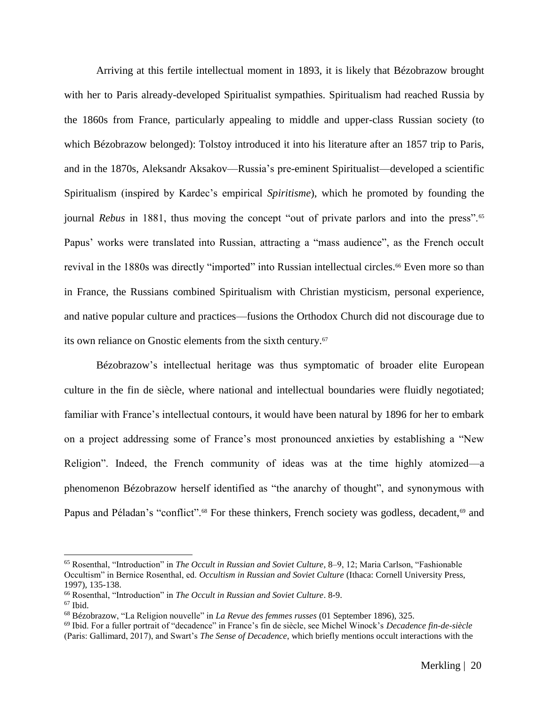Arriving at this fertile intellectual moment in 1893, it is likely that Bézobrazow brought with her to Paris already-developed Spiritualist sympathies. Spiritualism had reached Russia by the 1860s from France, particularly appealing to middle and upper-class Russian society (to which Bézobrazow belonged): Tolstoy introduced it into his literature after an 1857 trip to Paris, and in the 1870s, Aleksandr Aksakov––Russia's pre-eminent Spiritualist––developed a scientific Spiritualism (inspired by Kardec's empirical *Spiritisme*), which he promoted by founding the journal *Rebus* in 1881, thus moving the concept "out of private parlors and into the press".<sup>65</sup> Papus' works were translated into Russian, attracting a "mass audience", as the French occult revival in the 1880s was directly "imported" into Russian intellectual circles.<sup>66</sup> Even more so than in France, the Russians combined Spiritualism with Christian mysticism, personal experience, and native popular culture and practices––fusions the Orthodox Church did not discourage due to its own reliance on Gnostic elements from the sixth century.<sup>67</sup>

Bézobrazow's intellectual heritage was thus symptomatic of broader elite European culture in the fin de siècle, where national and intellectual boundaries were fluidly negotiated; familiar with France's intellectual contours, it would have been natural by 1896 for her to embark on a project addressing some of France's most pronounced anxieties by establishing a "New Religion". Indeed, the French community of ideas was at the time highly atomized—a phenomenon Bézobrazow herself identified as "the anarchy of thought", and synonymous with Papus and Péladan's "conflict".<sup>68</sup> For these thinkers, French society was godless, decadent,<sup>69</sup> and

<sup>65</sup> Rosenthal, "Introduction" in *The Occult in Russian and Soviet Culture*, 8–9, 12; Maria Carlson, "Fashionable Occultism" in Bernice Rosenthal, ed. *Occultism in Russian and Soviet Culture* (Ithaca: Cornell University Press, 1997), 135-138.

<sup>66</sup> Rosenthal, "Introduction" in *The Occult in Russian and Soviet Culture*. 8-9.

 $67$  Ibid.

<sup>68</sup> Bézobrazow, "La Religion nouvelle" in *La Revue des femmes russes* (01 September 1896), 325.

<sup>69</sup> Ibid. For a fuller portrait of "decadence" in France's fin de siècle, see Michel Winock's *Decadence fin-de-siècle* (Paris: Gallimard, 2017), and Swart's *The Sense of Decadence*, which briefly mentions occult interactions with the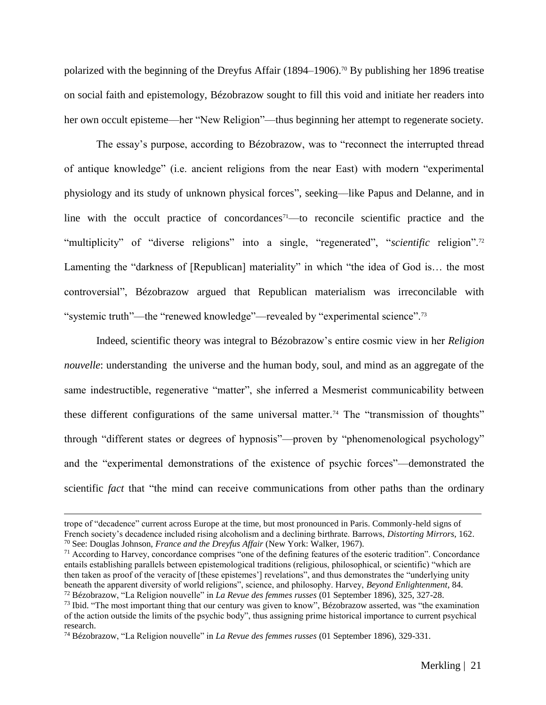polarized with the beginning of the Dreyfus Affair (1894–1906).<sup>70</sup> By publishing her 1896 treatise on social faith and epistemology, Bézobrazow sought to fill this void and initiate her readers into her own occult episteme—her "New Religion"—thus beginning her attempt to regenerate society.

The essay's purpose, according to Bézobrazow, was to "reconnect the interrupted thread of antique knowledge" (i.e. ancient religions from the near East) with modern "experimental physiology and its study of unknown physical forces", seeking––like Papus and Delanne, and in line with the occult practice of concordances<sup>71</sup>—to reconcile scientific practice and the "multiplicity" of "diverse religions" into a single, "regenerated", "*scientific* religion".<sup>72</sup> Lamenting the "darkness of [Republican] materiality" in which "the idea of God is... the most controversial", Bézobrazow argued that Republican materialism was irreconcilable with "systemic truth"—the "renewed knowledge"—revealed by "experimental science".<sup>73</sup>

Indeed, scientific theory was integral to Bézobrazow's entire cosmic view in her *Religion nouvelle*: understanding the universe and the human body, soul, and mind as an aggregate of the same indestructible, regenerative "matter", she inferred a Mesmerist communicability between these different configurations of the same universal matter.<sup>74</sup> The "transmission of thoughts" through "different states or degrees of hypnosis"––proven by "phenomenological psychology" and the "experimental demonstrations of the existence of psychic forces"––demonstrated the scientific *fact* that "the mind can receive communications from other paths than the ordinary

trope of "decadence" current across Europe at the time, but most pronounced in Paris. Commonly-held signs of French society's decadence included rising alcoholism and a declining birthrate. Barrows, *Distorting Mirrors*, 162. <sup>70</sup> See: Douglas Johnson, *France and the Dreyfus Affair* (New York: Walker, 1967).

<sup>&</sup>lt;sup>71</sup> According to Harvey, concordance comprises "one of the defining features of the esoteric tradition". Concordance entails establishing parallels between epistemological traditions (religious, philosophical, or scientific) "which are then taken as proof of the veracity of [these epistemes'] revelations", and thus demonstrates the "underlying unity beneath the apparent diversity of world religions", science, and philosophy. Harvey, *Beyond Enlightenment*, 84. <sup>72</sup> Bézobrazow, "La Religion nouvelle" in *La Revue des femmes russes* (01 September 1896), 325, 327-28.

<sup>&</sup>lt;sup>73</sup> Ibid. "The most important thing that our century was given to know", Bézobrazow asserted, was "the examination of the action outside the limits of the psychic body", thus assigning prime historical importance to current psychical research.

<sup>74</sup> Bézobrazow, "La Religion nouvelle" in *La Revue des femmes russes* (01 September 1896), 329-331.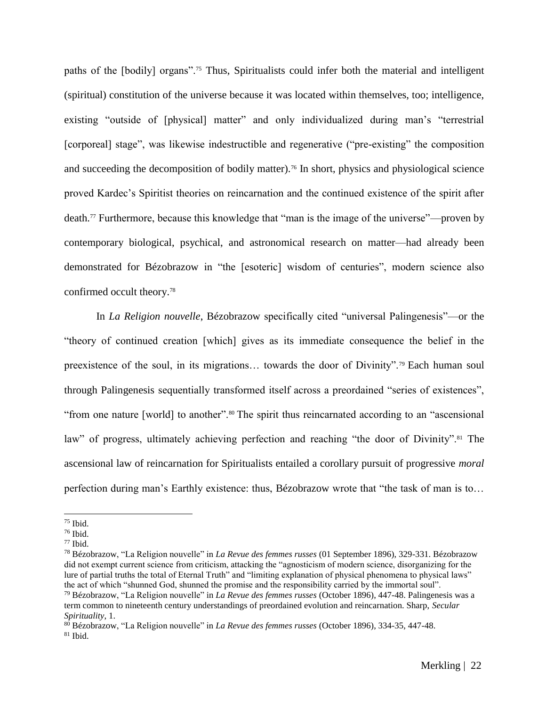paths of the [bodily] organs".<sup>75</sup> Thus, Spiritualists could infer both the material and intelligent (spiritual) constitution of the universe because it was located within themselves, too; intelligence, existing "outside of [physical] matter" and only individualized during man's "terrestrial [corporeal] stage", was likewise indestructible and regenerative ("pre-existing" the composition and succeeding the decomposition of bodily matter).<sup>76</sup> In short, physics and physiological science proved Kardec's Spiritist theories on reincarnation and the continued existence of the spirit after death.<sup>77</sup> Furthermore, because this knowledge that "man is the image of the universe"––proven by contemporary biological, psychical, and astronomical research on matter––had already been demonstrated for Bézobrazow in "the [esoteric] wisdom of centuries", modern science also confirmed occult theory.<sup>78</sup>

In *La Religion nouvelle*, Bézobrazow specifically cited "universal Palingenesis"—or the "theory of continued creation [which] gives as its immediate consequence the belief in the preexistence of the soul, in its migrations… towards the door of Divinity".<sup>79</sup> Each human soul through Palingenesis sequentially transformed itself across a preordained "series of existences", "from one nature [world] to another".<sup>80</sup> The spirit thus reincarnated according to an "ascensional" law" of progress, ultimately achieving perfection and reaching "the door of Divinity".<sup>81</sup> The ascensional law of reincarnation for Spiritualists entailed a corollary pursuit of progressive *moral*  perfection during man's Earthly existence: thus, Bézobrazow wrote that "the task of man is to…

<sup>75</sup> Ibid.

<sup>76</sup> Ibid.

 $77$  Ibid.

<sup>78</sup> Bézobrazow, "La Religion nouvelle" in *La Revue des femmes russes* (01 September 1896), 329-331. Bézobrazow did not exempt current science from criticism, attacking the "agnosticism of modern science, disorganizing for the lure of partial truths the total of Eternal Truth" and "limiting explanation of physical phenomena to physical laws" the act of which "shunned God, shunned the promise and the responsibility carried by the immortal soul". <sup>79</sup> Bézobrazow, "La Religion nouvelle" in *La Revue des femmes russes* (October 1896), 447-48. Palingenesis was a term common to nineteenth century understandings of preordained evolution and reincarnation. Sharp, *Secular* 

*Spirituality*, 1.

<sup>80</sup> Bézobrazow, "La Religion nouvelle" in *La Revue des femmes russes* (October 1896), 334-35, 447-48.  $81$  Ibid.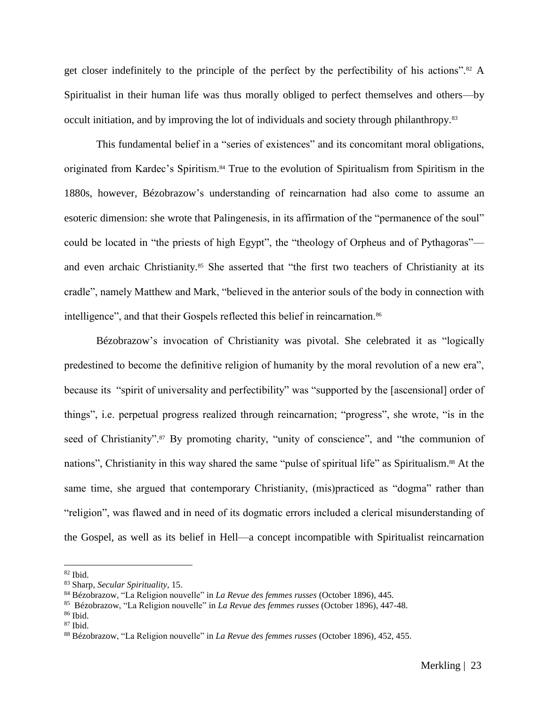get closer indefinitely to the principle of the perfect by the perfectibility of his actions".<sup>82</sup> A Spiritualist in their human life was thus morally obliged to perfect themselves and others––by occult initiation, and by improving the lot of individuals and society through philanthropy.<sup>83</sup>

This fundamental belief in a "series of existences" and its concomitant moral obligations, originated from Kardec's Spiritism.<sup>84</sup> True to the evolution of Spiritualism from Spiritism in the 1880s, however, Bézobrazow's understanding of reincarnation had also come to assume an esoteric dimension: she wrote that Palingenesis, in its affirmation of the "permanence of the soul" could be located in "the priests of high Egypt", the "theology of Orpheus and of Pythagoras" and even archaic Christianity.<sup>85</sup> She asserted that "the first two teachers of Christianity at its cradle", namely Matthew and Mark, "believed in the anterior souls of the body in connection with intelligence", and that their Gospels reflected this belief in reincarnation.<sup>86</sup>

Bézobrazow's invocation of Christianity was pivotal. She celebrated it as "logically predestined to become the definitive religion of humanity by the moral revolution of a new era", because its "spirit of universality and perfectibility" was "supported by the [ascensional] order of things", i.e. perpetual progress realized through reincarnation; "progress", she wrote, "is in the seed of Christianity".<sup>87</sup> By promoting charity, "unity of conscience", and "the communion of nations", Christianity in this way shared the same "pulse of spiritual life" as Spiritualism. <sup>88</sup> At the same time, she argued that contemporary Christianity, (mis)practiced as "dogma" rather than "religion", was flawed and in need of its dogmatic errors included a clerical misunderstanding of the Gospel, as well as its belief in Hell—a concept incompatible with Spiritualist reincarnation

 $82$  Ibid.

<sup>83</sup> Sharp, *Secular Spirituality*, 15.

<sup>84</sup> Bézobrazow, "La Religion nouvelle" in *La Revue des femmes russes* (October 1896), 445.

<sup>85</sup> Bézobrazow, "La Religion nouvelle" in *La Revue des femmes russes* (October 1896), 447-48.

<sup>86</sup> Ibid.

 $87$  Ibid.

<sup>88</sup> Bézobrazow, "La Religion nouvelle" in *La Revue des femmes russes* (October 1896), 452, 455.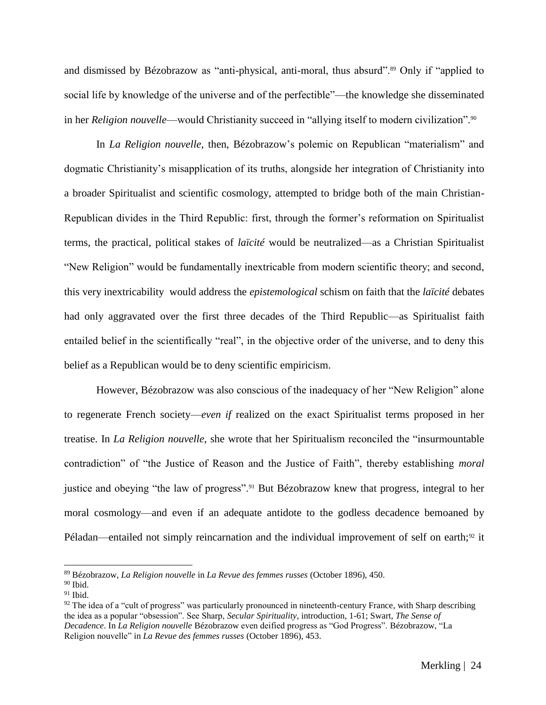and dismissed by Bézobrazow as "anti-physical, anti-moral, thus absurd".<sup>89</sup> Only if "applied to social life by knowledge of the universe and of the perfectible"––the knowledge she disseminated in her *Religion nouvelle*––would Christianity succeed in "allying itself to modern civilization".<sup>90</sup>

In *La Religion nouvelle*, then, Bézobrazow's polemic on Republican "materialism" and dogmatic Christianity's misapplication of its truths, alongside her integration of Christianity into a broader Spiritualist and scientific cosmology, attempted to bridge both of the main Christian-Republican divides in the Third Republic: first, through the former's reformation on Spiritualist terms, the practical, political stakes of *laïcité* would be neutralized––as a Christian Spiritualist "New Religion" would be fundamentally inextricable from modern scientific theory; and second, this very inextricability would address the *epistemological* schism on faith that the *laïcité* debates had only aggravated over the first three decades of the Third Republic—as Spiritualist faith entailed belief in the scientifically "real", in the objective order of the universe, and to deny this belief as a Republican would be to deny scientific empiricism.

However, Bézobrazow was also conscious of the inadequacy of her "New Religion" alone to regenerate French society––*even if* realized on the exact Spiritualist terms proposed in her treatise. In *La Religion nouvelle*, she wrote that her Spiritualism reconciled the "insurmountable contradiction" of "the Justice of Reason and the Justice of Faith", thereby establishing *moral*  justice and obeying "the law of progress".<sup>91</sup> But Bézobrazow knew that progress, integral to her moral cosmology––and even if an adequate antidote to the godless decadence bemoaned by Péladan—entailed not simply reincarnation and the individual improvement of self on earth;<sup>92</sup> it

<sup>89</sup> Bézobrazow, *La Religion nouvelle* in *La Revue des femmes russes* (October 1896), 450.

 $90$  Ibid.

 $91$  Ibid.

 $92$  The idea of a "cult of progress" was particularly pronounced in nineteenth-century France, with Sharp describing the idea as a popular "obsession". See Sharp, *Secular Spirituality*, introduction, 1-61; Swart, *The Sense of Decadence*. In *La Religion nouvelle* Bézobrazow even deified progress as "God Progress". Bézobrazow, "La Religion nouvelle" in *La Revue des femmes russes* (October 1896), 453.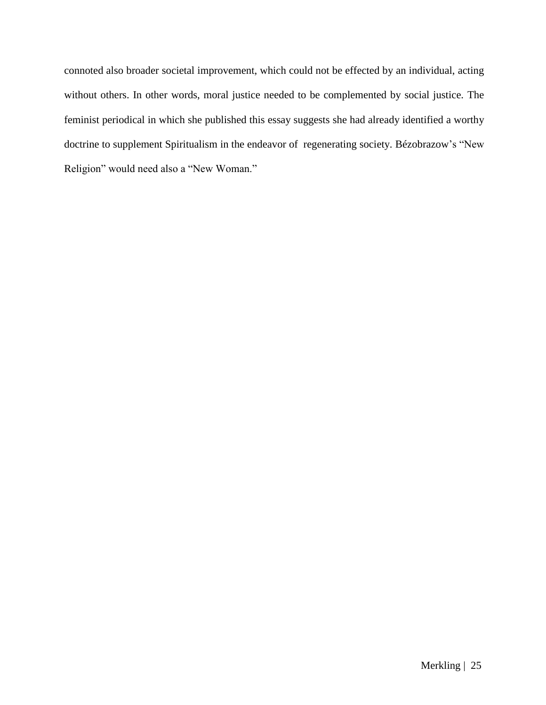connoted also broader societal improvement, which could not be effected by an individual, acting without others. In other words, moral justice needed to be complemented by social justice. The feminist periodical in which she published this essay suggests she had already identified a worthy doctrine to supplement Spiritualism in the endeavor of regenerating society. Bézobrazow's "New Religion" would need also a "New Woman."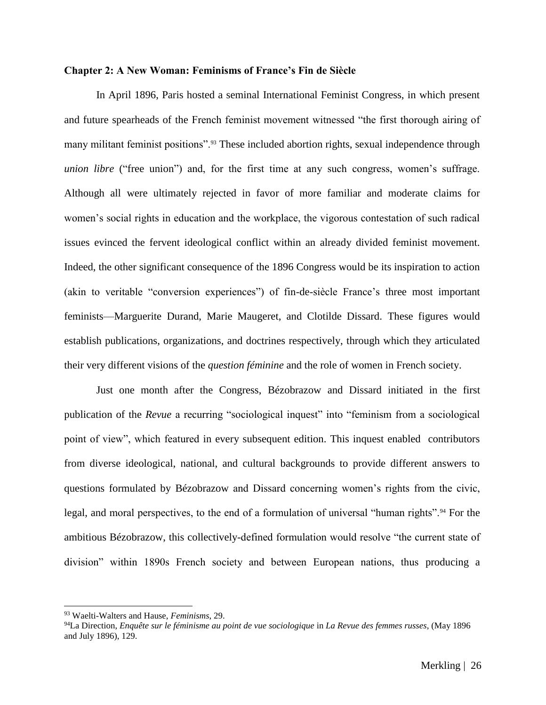#### **Chapter 2: A New Woman: Feminisms of France's Fin de Siècle**

In April 1896, Paris hosted a seminal International Feminist Congress, in which present and future spearheads of the French feminist movement witnessed "the first thorough airing of many militant feminist positions".<sup>93</sup> These included abortion rights, sexual independence through *union libre* ("free union") and, for the first time at any such congress, women's suffrage. Although all were ultimately rejected in favor of more familiar and moderate claims for women's social rights in education and the workplace, the vigorous contestation of such radical issues evinced the fervent ideological conflict within an already divided feminist movement. Indeed, the other significant consequence of the 1896 Congress would be its inspiration to action (akin to veritable "conversion experiences") of fin-de-siècle France's three most important feminists––Marguerite Durand, Marie Maugeret, and Clotilde Dissard. These figures would establish publications, organizations, and doctrines respectively, through which they articulated their very different visions of the *question féminine* and the role of women in French society.

Just one month after the Congress, Bézobrazow and Dissard initiated in the first publication of the *Revue* a recurring "sociological inquest" into "feminism from a sociological point of view", which featured in every subsequent edition. This inquest enabled contributors from diverse ideological, national, and cultural backgrounds to provide different answers to questions formulated by Bézobrazow and Dissard concerning women's rights from the civic, legal, and moral perspectives, to the end of a formulation of universal "human rights".<sup>94</sup> For the ambitious Bézobrazow, this collectively-defined formulation would resolve "the current state of division" within 1890s French society and between European nations, thus producing a

<sup>93</sup> Waelti-Walters and Hause, *Feminisms*, 29.

<sup>94</sup>La Direction, *Enquête sur le féminisme au point de vue sociologique* in *La Revue des femmes russes*, (May 1896 and July 1896), 129.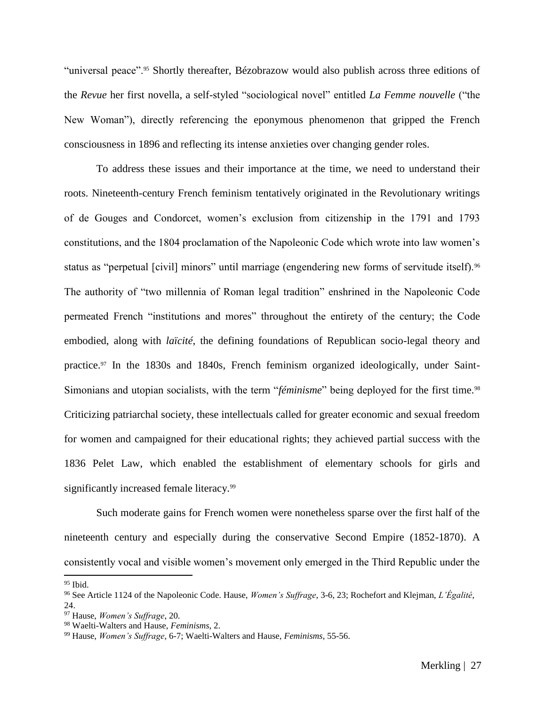"universal peace".<sup>95</sup> Shortly thereafter, Bézobrazow would also publish across three editions of the *Revue* her first novella, a self-styled "sociological novel" entitled *La Femme nouvelle* ("the New Woman"), directly referencing the eponymous phenomenon that gripped the French consciousness in 1896 and reflecting its intense anxieties over changing gender roles.

To address these issues and their importance at the time, we need to understand their roots. Nineteenth-century French feminism tentatively originated in the Revolutionary writings of de Gouges and Condorcet, women's exclusion from citizenship in the 1791 and 1793 constitutions, and the 1804 proclamation of the Napoleonic Code which wrote into law women's status as "perpetual [civil] minors" until marriage (engendering new forms of servitude itself).<sup>96</sup> The authority of "two millennia of Roman legal tradition" enshrined in the Napoleonic Code permeated French "institutions and mores" throughout the entirety of the century; the Code embodied, along with *laïcité*, the defining foundations of Republican socio-legal theory and practice.<sup>97</sup> In the 1830s and 1840s, French feminism organized ideologically, under Saint-Simonians and utopian socialists, with the term "*féminisme*" being deployed for the first time.<sup>98</sup> Criticizing patriarchal society, these intellectuals called for greater economic and sexual freedom for women and campaigned for their educational rights; they achieved partial success with the 1836 Pelet Law, which enabled the establishment of elementary schools for girls and significantly increased female literacy.<sup>99</sup>

Such moderate gains for French women were nonetheless sparse over the first half of the nineteenth century and especially during the conservative Second Empire (1852-1870). A consistently vocal and visible women's movement only emerged in the Third Republic under the

 $95$  Ibid.

<sup>96</sup> See Article 1124 of the Napoleonic Code. Hause, *Women's Suffrage*, 3-6, 23; Rochefort and Klejman, *L'Égalité*, 24.

<sup>97</sup> Hause, *Women's Suffrage*, 20.

<sup>98</sup> Waelti-Walters and Hause, *Feminisms*, 2.

<sup>99</sup> Hause, *Women's Suffrage*, 6-7; Waelti-Walters and Hause, *Feminisms*, 55-56.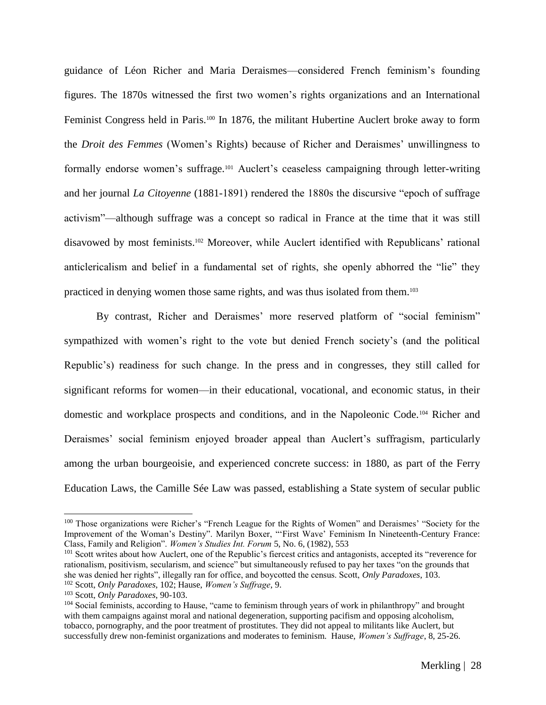guidance of Léon Richer and Maria Deraismes––considered French feminism's founding figures. The 1870s witnessed the first two women's rights organizations and an International Feminist Congress held in Paris.<sup>100</sup> In 1876, the militant Hubertine Auclert broke away to form the *Droit des Femmes* (Women's Rights) because of Richer and Deraismes' unwillingness to formally endorse women's suffrage.<sup>101</sup> Auclert's ceaseless campaigning through letter-writing and her journal *La Citoyenne* (1881-1891) rendered the 1880s the discursive "epoch of suffrage activism"––although suffrage was a concept so radical in France at the time that it was still disavowed by most feminists.<sup>102</sup> Moreover, while Auclert identified with Republicans' rational anticlericalism and belief in a fundamental set of rights, she openly abhorred the "lie" they practiced in denying women those same rights, and was thus isolated from them.<sup>103</sup>

By contrast, Richer and Deraismes' more reserved platform of "social feminism" sympathized with women's right to the vote but denied French society's (and the political Republic's) readiness for such change. In the press and in congresses, they still called for significant reforms for women—in their educational, vocational, and economic status, in their domestic and workplace prospects and conditions, and in the Napoleonic Code.<sup>104</sup> Richer and Deraismes' social feminism enjoyed broader appeal than Auclert's suffragism, particularly among the urban bourgeoisie, and experienced concrete success: in 1880, as part of the Ferry Education Laws, the Camille Sée Law was passed, establishing a State system of secular public

<sup>100</sup> Those organizations were Richer's "French League for the Rights of Women" and Deraismes' "Society for the Improvement of the Woman's Destiny". Marilyn Boxer, "'First Wave' Feminism In Nineteenth-Century France: Class, Family and Religion". *Women's Studies Int. Forum* 5, No. 6, (1982), 553

<sup>&</sup>lt;sup>101</sup> Scott writes about how Auclert, one of the Republic's fiercest critics and antagonists, accepted its "reverence for rationalism, positivism, secularism, and science" but simultaneously refused to pay her taxes "on the grounds that she was denied her rights", illegally ran for office, and boycotted the census. Scott, *Only Paradoxes*, 103. <sup>102</sup> Scott, *Only Paradoxes*, 102; Hause, *Women's Suffrage*, 9.

<sup>103</sup> Scott, *Only Paradoxes*, 90-103.

<sup>&</sup>lt;sup>104</sup> Social feminists, according to Hause, "came to feminism through years of work in philanthropy" and brought with them campaigns against moral and national degeneration, supporting pacifism and opposing alcoholism, tobacco, pornography, and the poor treatment of prostitutes. They did not appeal to militants like Auclert, but successfully drew non-feminist organizations and moderates to feminism. Hause, *Women's Suffrage*, 8, 25-26.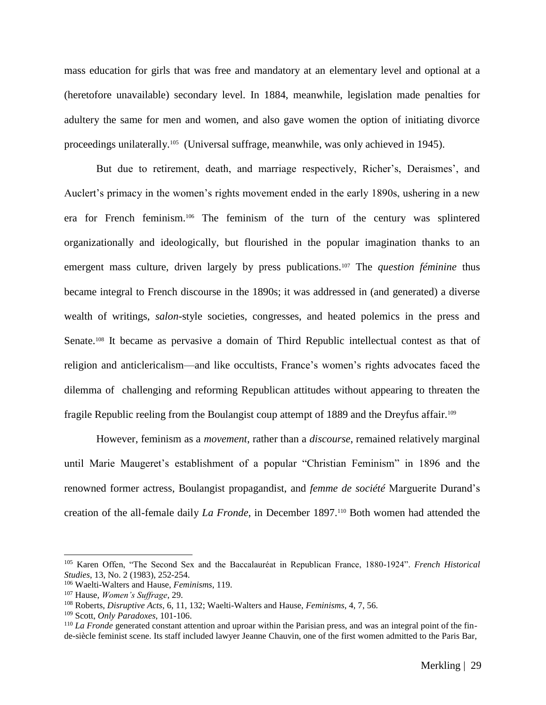mass education for girls that was free and mandatory at an elementary level and optional at a (heretofore unavailable) secondary level. In 1884, meanwhile, legislation made penalties for adultery the same for men and women, and also gave women the option of initiating divorce proceedings unilaterally.<sup>105</sup> (Universal suffrage, meanwhile, was only achieved in 1945).

But due to retirement, death, and marriage respectively, Richer's, Deraismes', and Auclert's primacy in the women's rights movement ended in the early 1890s, ushering in a new era for French feminism.<sup>106</sup> The feminism of the turn of the century was splintered organizationally and ideologically, but flourished in the popular imagination thanks to an emergent mass culture, driven largely by press publications.<sup>107</sup> The *question féminine* thus became integral to French discourse in the 1890s; it was addressed in (and generated) a diverse wealth of writings, *salon*-style societies, congresses, and heated polemics in the press and Senate.<sup>108</sup> It became as pervasive a domain of Third Republic intellectual contest as that of religion and anticlericalism––and like occultists, France's women's rights advocates faced the dilemma of challenging and reforming Republican attitudes without appearing to threaten the fragile Republic reeling from the Boulangist coup attempt of 1889 and the Dreyfus affair.<sup>109</sup>

However, feminism as a *movement*, rather than a *discourse*, remained relatively marginal until Marie Maugeret's establishment of a popular "Christian Feminism" in 1896 and the renowned former actress, Boulangist propagandist, and *femme de société* Marguerite Durand's creation of the all-female daily *La Fronde*, in December 1897.<sup>110</sup> Both women had attended the

<sup>105</sup> Karen Offen, "The Second Sex and the Baccalauréat in Republican France, 1880-1924". *French Historical Studies*, 13, No. 2 (1983), 252-254.

<sup>106</sup> Waelti-Walters and Hause, *Feminisms*, 119.

<sup>107</sup> Hause, *Women's Suffrage*, 29.

<sup>108</sup> Roberts, *Disruptive Acts*, 6, 11, 132; Waelti-Walters and Hause, *Feminisms*, 4, 7, 56.

<sup>109</sup> Scott, *Only Paradoxes*, 101-106.

<sup>&</sup>lt;sup>110</sup> *La Fronde* generated constant attention and uproar within the Parisian press, and was an integral point of the finde-siècle feminist scene. Its staff included lawyer Jeanne Chauvin, one of the first women admitted to the Paris Bar,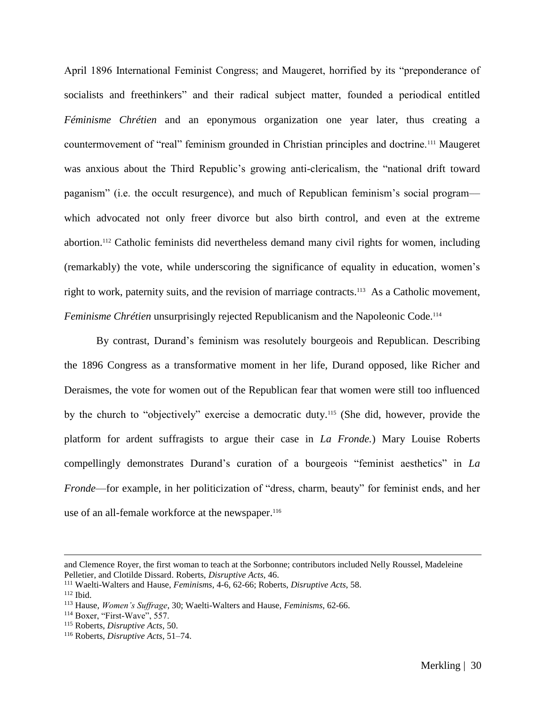April 1896 International Feminist Congress; and Maugeret, horrified by its "preponderance of socialists and freethinkers" and their radical subject matter, founded a periodical entitled *Féminisme Chrétien* and an eponymous organization one year later, thus creating a countermovement of "real" feminism grounded in Christian principles and doctrine.<sup>111</sup> Maugeret was anxious about the Third Republic's growing anti-clericalism, the "national drift toward paganism" (i.e. the occult resurgence), and much of Republican feminism's social program–– which advocated not only freer divorce but also birth control, and even at the extreme abortion.<sup>112</sup> Catholic feminists did nevertheless demand many civil rights for women, including (remarkably) the vote, while underscoring the significance of equality in education, women's right to work, paternity suits, and the revision of marriage contracts.<sup>113</sup> As a Catholic movement, *Feminisme Chrétien* unsurprisingly rejected Republicanism and the Napoleonic Code.<sup>114</sup>

By contrast, Durand's feminism was resolutely bourgeois and Republican. Describing the 1896 Congress as a transformative moment in her life, Durand opposed, like Richer and Deraismes, the vote for women out of the Republican fear that women were still too influenced by the church to "objectively" exercise a democratic duty.<sup>115</sup> (She did, however, provide the platform for ardent suffragists to argue their case in *La Fronde.*) Mary Louise Roberts compellingly demonstrates Durand's curation of a bourgeois "feminist aesthetics" in *La Fronde*—for example, in her politicization of "dress, charm, beauty" for feminist ends, and her use of an all-female workforce at the newspaper.<sup>116</sup>

and Clemence Royer, the first woman to teach at the Sorbonne; contributors included Nelly Roussel, Madeleine Pelletier, and Clotilde Dissard. Roberts, *Disruptive Acts*, 46.

<sup>111</sup> Waelti-Walters and Hause, *Feminisms*, 4-6, 62-66; Roberts, *Disruptive Acts*, 58.

 $112$  Ibid.

<sup>113</sup> Hause, *Women's Suffrage*, 30; Waelti-Walters and Hause, *Feminisms*, 62-66.

<sup>&</sup>lt;sup>114</sup> Boxer, "First-Wave", 557.

<sup>115</sup> Roberts, *Disruptive Acts*, 50.

<sup>116</sup> Roberts, *Disruptive Acts*, 51–74.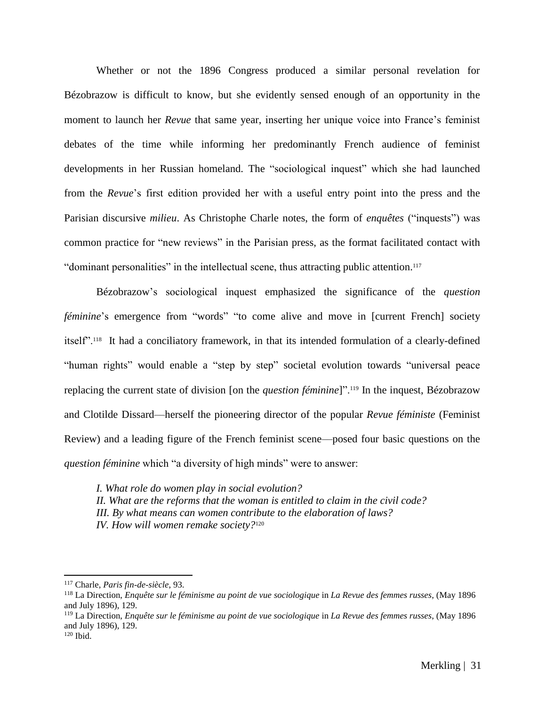Whether or not the 1896 Congress produced a similar personal revelation for Bézobrazow is difficult to know, but she evidently sensed enough of an opportunity in the moment to launch her *Revue* that same year, inserting her unique voice into France's feminist debates of the time while informing her predominantly French audience of feminist developments in her Russian homeland. The "sociological inquest" which she had launched from the *Revue*'s first edition provided her with a useful entry point into the press and the Parisian discursive *milieu*. As Christophe Charle notes, the form of *enquêtes* ("inquests") was common practice for "new reviews" in the Parisian press, as the format facilitated contact with "dominant personalities" in the intellectual scene, thus attracting public attention.<sup>117</sup>

Bézobrazow's sociological inquest emphasized the significance of the *question féminine*'s emergence from "words" "to come alive and move in [current French] society itself".<sup>118</sup> It had a conciliatory framework, in that its intended formulation of a clearly-defined "human rights" would enable a "step by step" societal evolution towards "universal peace replacing the current state of division [on the *question féminine*]".<sup>119</sup> In the inquest, Bézobrazow and Clotilde Dissard––herself the pioneering director of the popular *Revue féministe* (Feminist Review) and a leading figure of the French feminist scene––posed four basic questions on the *question féminine* which "a diversity of high minds" were to answer:

*I. What role do women play in social evolution? II. What are the reforms that the woman is entitled to claim in the civil code? III. By what means can women contribute to the elaboration of laws? IV. How will women remake society?*<sup>120</sup>

<sup>119</sup> La Direction, *Enquête sur le féminisme au point de vue sociologique* in *La Revue des femmes russes*, (May 1896 and July 1896), 129.

<sup>117</sup> Charle, *Paris fin-de-siècle*, 93*.*

<sup>118</sup> La Direction, *Enquête sur le féminisme au point de vue sociologique* in *La Revue des femmes russes*, (May 1896 and July 1896), 129.

 $120$  Ibid.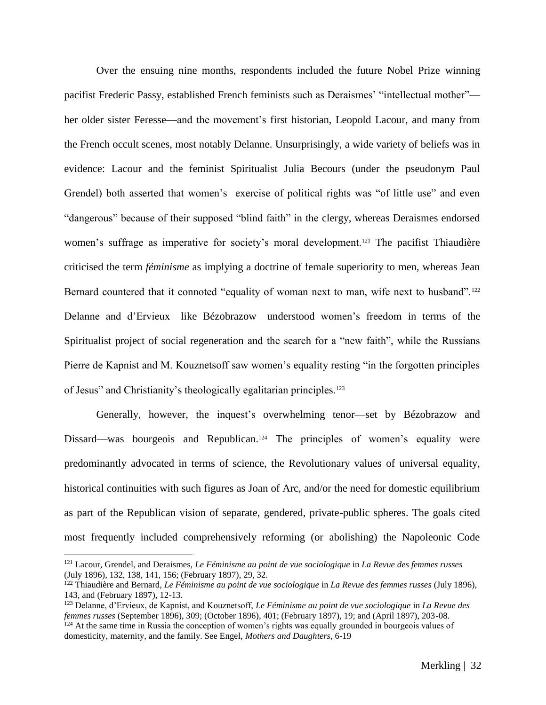Over the ensuing nine months, respondents included the future Nobel Prize winning pacifist Frederic Passy, established French feminists such as Deraismes' "intellectual mother"–– her older sister Feresse––and the movement's first historian, Leopold Lacour, and many from the French occult scenes, most notably Delanne. Unsurprisingly, a wide variety of beliefs was in evidence: Lacour and the feminist Spiritualist Julia Becours (under the pseudonym Paul Grendel) both asserted that women's exercise of political rights was "of little use" and even "dangerous" because of their supposed "blind faith" in the clergy, whereas Deraismes endorsed women's suffrage as imperative for society's moral development.<sup>121</sup> The pacifist Thiaudière criticised the term *féminisme* as implying a doctrine of female superiority to men, whereas Jean Bernard countered that it connoted "equality of woman next to man, wife next to husband".<sup>122</sup> Delanne and d'Ervieux––like Bézobrazow––understood women's freedom in terms of the Spiritualist project of social regeneration and the search for a "new faith", while the Russians Pierre de Kapnist and M. Kouznetsoff saw women's equality resting "in the forgotten principles of Jesus" and Christianity's theologically egalitarian principles.<sup>123</sup>

Generally, however, the inquest's overwhelming tenor—set by Bézobrazow and Dissard—was bourgeois and Republican.<sup>124</sup> The principles of women's equality were predominantly advocated in terms of science, the Revolutionary values of universal equality, historical continuities with such figures as Joan of Arc, and/or the need for domestic equilibrium as part of the Republican vision of separate, gendered, private-public spheres. The goals cited most frequently included comprehensively reforming (or abolishing) the Napoleonic Code

<sup>121</sup> Lacour, Grendel, and Deraismes, *Le Féminisme au point de vue sociologique* in *La Revue des femmes russes* (July 1896), 132, 138, 141, 156; (February 1897), 29, 32.

<sup>122</sup> Thiaudière and Bernard, *Le Féminisme au point de vue sociologique* in *La Revue des femmes russes* (July 1896), 143, and (February 1897), 12-13.

<sup>123</sup> Delanne, d'Ervieux, de Kapnist, and Kouznetsoff, *Le Féminisme au point de vue sociologique* in *La Revue des femmes russes* (September 1896), 309; (October 1896), 401; (February 1897), 19; and (April 1897), 203-08.  $124$  At the same time in Russia the conception of women's rights was equally grounded in bourgeois values of

domesticity, maternity, and the family. See Engel, *Mothers and Daughters*, 6-19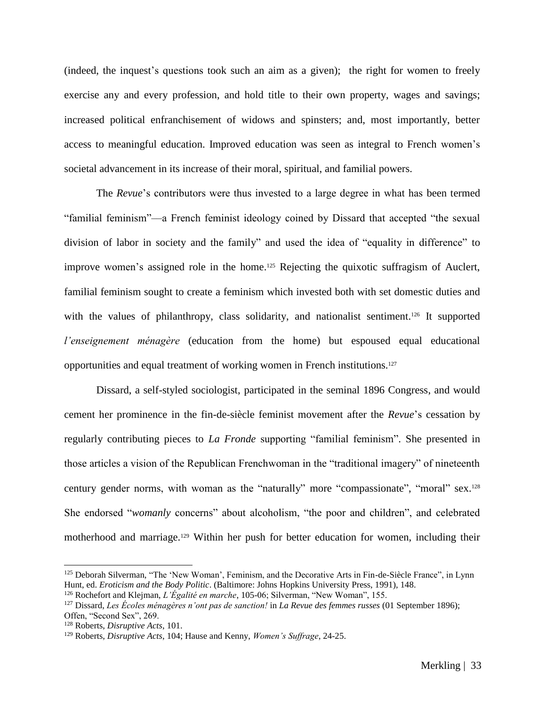(indeed, the inquest's questions took such an aim as a given); the right for women to freely exercise any and every profession, and hold title to their own property, wages and savings; increased political enfranchisement of widows and spinsters; and, most importantly, better access to meaningful education. Improved education was seen as integral to French women's societal advancement in its increase of their moral, spiritual, and familial powers.

The *Revue*'s contributors were thus invested to a large degree in what has been termed "familial feminism"––a French feminist ideology coined by Dissard that accepted "the sexual division of labor in society and the family" and used the idea of "equality in difference" to improve women's assigned role in the home.<sup>125</sup> Rejecting the quixotic suffragism of Auclert, familial feminism sought to create a feminism which invested both with set domestic duties and with the values of philanthropy, class solidarity, and nationalist sentiment.<sup>126</sup> It supported *l'enseignement ménagère* (education from the home) but espoused equal educational opportunities and equal treatment of working women in French institutions.<sup>127</sup>

Dissard, a self-styled sociologist, participated in the seminal 1896 Congress, and would cement her prominence in the fin-de-siècle feminist movement after the *Revue*'s cessation by regularly contributing pieces to *La Fronde* supporting "familial feminism". She presented in those articles a vision of the Republican Frenchwoman in the "traditional imagery" of nineteenth century gender norms, with woman as the "naturally" more "compassionate", "moral" sex.<sup>128</sup> She endorsed "*womanly* concerns" about alcoholism, "the poor and children", and celebrated motherhood and marriage.<sup>129</sup> Within her push for better education for women, including their

<sup>125</sup> Deborah Silverman, "The 'New Woman', Feminism, and the Decorative Arts in Fin-de-Siècle France", in Lynn Hunt, ed. *Eroticism and the Body Politic*. (Baltimore: Johns Hopkins University Press, 1991), 148.

<sup>126</sup> Rochefort and Klejman, *L'Égalité en marche*, 105-06; Silverman, "New Woman", 155.

<sup>127</sup> Dissard, *Les Écoles ménagères n'ont pas de sanction!* in *La Revue des femmes russes* (01 September 1896); Offen, "Second Sex", 269.

<sup>128</sup> Roberts, *Disruptive Acts*, 101.

<sup>129</sup> Roberts, *Disruptive Acts*, 104; Hause and Kenny, *Women's Suffrage*, 24-25.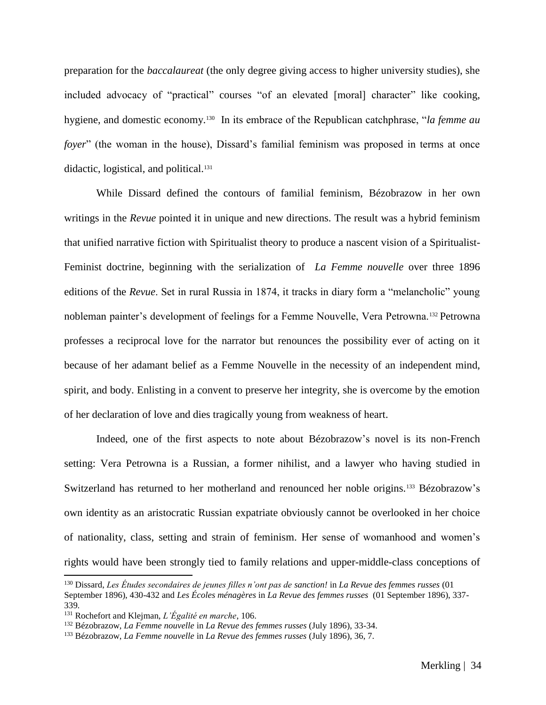preparation for the *baccalaureat* (the only degree giving access to higher university studies), she included advocacy of "practical" courses "of an elevated [moral] character" like cooking, hygiene, and domestic economy.<sup>130</sup> In its embrace of the Republican catchphrase, "*la femme au foyer*" (the woman in the house), Dissard's familial feminism was proposed in terms at once didactic, logistical, and political.<sup>131</sup>

While Dissard defined the contours of familial feminism, Bézobrazow in her own writings in the *Revue* pointed it in unique and new directions. The result was a hybrid feminism that unified narrative fiction with Spiritualist theory to produce a nascent vision of a Spiritualist-Feminist doctrine, beginning with the serialization of *La Femme nouvelle* over three 1896 editions of the *Revue*. Set in rural Russia in 1874, it tracks in diary form a "melancholic" young nobleman painter's development of feelings for a Femme Nouvelle, Vera Petrowna.<sup>132</sup> Petrowna professes a reciprocal love for the narrator but renounces the possibility ever of acting on it because of her adamant belief as a Femme Nouvelle in the necessity of an independent mind, spirit, and body. Enlisting in a convent to preserve her integrity, she is overcome by the emotion of her declaration of love and dies tragically young from weakness of heart.

Indeed, one of the first aspects to note about Bézobrazow's novel is its non-French setting: Vera Petrowna is a Russian, a former nihilist, and a lawyer who having studied in Switzerland has returned to her motherland and renounced her noble origins.<sup>133</sup> Bézobrazow's own identity as an aristocratic Russian expatriate obviously cannot be overlooked in her choice of nationality, class, setting and strain of feminism. Her sense of womanhood and women's rights would have been strongly tied to family relations and upper-middle-class conceptions of

<sup>130</sup> Dissard, *Les Études secondaires de jeunes filles n'ont pas de sanction!* in *La Revue des femmes russes* (01 September 1896), 430-432 and *Les Écoles ménagères* in *La Revue des femmes russes* (01 September 1896), 337- 339*.*

<sup>131</sup> Rochefort and Klejman, *L'Égalité en marche*, 106.

<sup>132</sup> Bézobrazow, *La Femme nouvelle* in *La Revue des femmes russes* (July 1896), 33-34.

<sup>133</sup> Bézobrazow, *La Femme nouvelle* in *La Revue des femmes russes* (July 1896), 36, 7.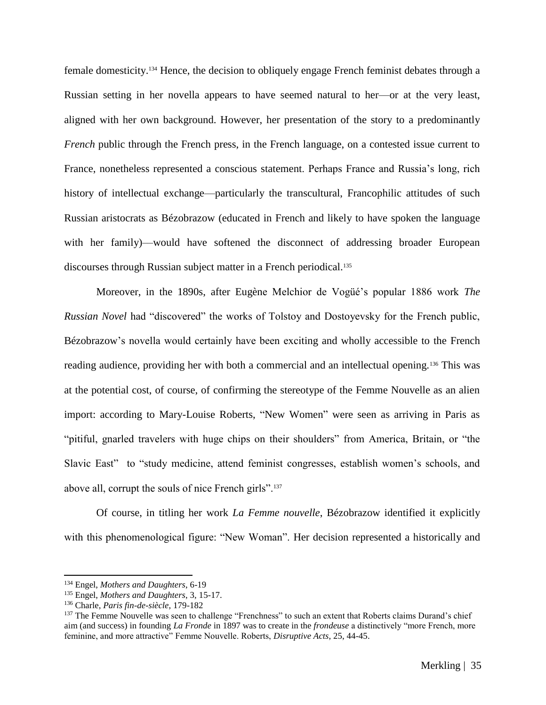female domesticity.<sup>134</sup> Hence, the decision to obliquely engage French feminist debates through a Russian setting in her novella appears to have seemed natural to her––or at the very least, aligned with her own background. However, her presentation of the story to a predominantly *French* public through the French press, in the French language, on a contested issue current to France, nonetheless represented a conscious statement. Perhaps France and Russia's long, rich history of intellectual exchange—particularly the transcultural, Francophilic attitudes of such Russian aristocrats as Bézobrazow (educated in French and likely to have spoken the language with her family)—would have softened the disconnect of addressing broader European discourses through Russian subject matter in a French periodical.<sup>135</sup>

Moreover, in the 1890s, after Eugène Melchior de Vogüé's popular 1886 work *The Russian Novel* had "discovered" the works of Tolstoy and Dostoyevsky for the French public, Bézobrazow's novella would certainly have been exciting and wholly accessible to the French reading audience, providing her with both a commercial and an intellectual opening.<sup>136</sup> This was at the potential cost, of course, of confirming the stereotype of the Femme Nouvelle as an alien import: according to Mary-Louise Roberts, "New Women" were seen as arriving in Paris as "pitiful, gnarled travelers with huge chips on their shoulders" from America, Britain, or "the Slavic East" to "study medicine, attend feminist congresses, establish women's schools, and above all, corrupt the souls of nice French girls".<sup>137</sup>

Of course, in titling her work *La Femme nouvelle*, Bézobrazow identified it explicitly with this phenomenological figure: "New Woman". Her decision represented a historically and

<sup>134</sup> Engel, *Mothers and Daughters*, 6-19

<sup>135</sup> Engel, *Mothers and Daughters*, 3, 15-17.

<sup>136</sup> Charle, *Paris fin-de-siècle*, 179-182

<sup>&</sup>lt;sup>137</sup> The Femme Nouvelle was seen to challenge "Frenchness" to such an extent that Roberts claims Durand's chief aim (and success) in founding *La Fronde* in 1897 was to create in the *frondeuse* a distinctively "more French, more feminine, and more attractive" Femme Nouvelle. Roberts, *Disruptive Acts*, 25, 44-45.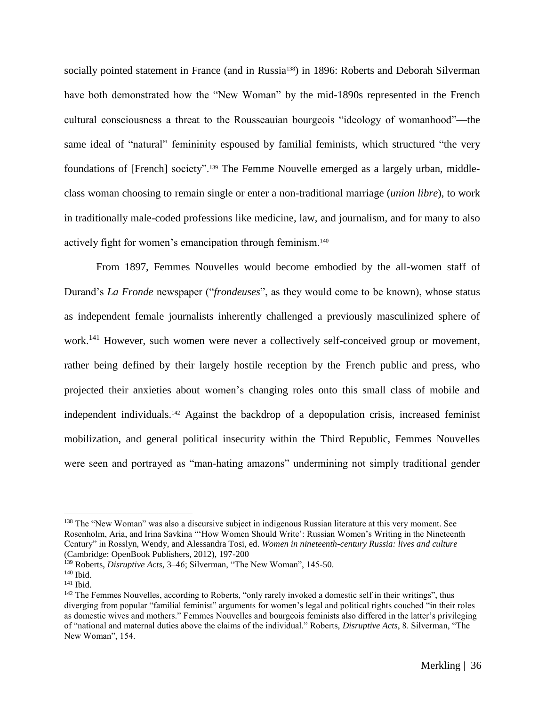socially pointed statement in France (and in Russia<sup>138</sup>) in 1896: Roberts and Deborah Silverman have both demonstrated how the "New Woman" by the mid-1890s represented in the French cultural consciousness a threat to the Rousseauian bourgeois "ideology of womanhood"—the same ideal of "natural" femininity espoused by familial feminists, which structured "the very foundations of [French] society".<sup>139</sup> The Femme Nouvelle emerged as a largely urban, middleclass woman choosing to remain single or enter a non-traditional marriage (*union libre*), to work in traditionally male-coded professions like medicine, law, and journalism, and for many to also actively fight for women's emancipation through feminism.<sup>140</sup>

From 1897, Femmes Nouvelles would become embodied by the all-women staff of Durand's *La Fronde* newspaper ("*frondeuses*", as they would come to be known), whose status as independent female journalists inherently challenged a previously masculinized sphere of work.<sup>141</sup> However, such women were never a collectively self-conceived group or movement, rather being defined by their largely hostile reception by the French public and press, who projected their anxieties about women's changing roles onto this small class of mobile and independent individuals.<sup>142</sup> Against the backdrop of a depopulation crisis, increased feminist mobilization, and general political insecurity within the Third Republic, Femmes Nouvelles were seen and portrayed as "man-hating amazons" undermining not simply traditional gender

<sup>&</sup>lt;sup>138</sup> The "New Woman" was also a discursive subject in indigenous Russian literature at this very moment. See Rosenholm, Aria, and Irina Savkina "'How Women Should Write': Russian Women's Writing in the Nineteenth Century" in Rosslyn, Wendy, and Alessandra Tosi, ed. *Women in nineteenth-century Russia: lives and culture* (Cambridge: OpenBook Publishers, 2012), 197-200

<sup>&</sup>lt;sup>139</sup> Roberts, *Disruptive Acts*, 3-46; Silverman, "The New Woman", 145-50.

 $140$  Ibid.

<sup>141</sup> Ibid.

<sup>&</sup>lt;sup>142</sup> The Femmes Nouvelles, according to Roberts, "only rarely invoked a domestic self in their writings", thus diverging from popular "familial feminist" arguments for women's legal and political rights couched "in their roles as domestic wives and mothers." Femmes Nouvelles and bourgeois feminists also differed in the latter's privileging of "national and maternal duties above the claims of the individual." Roberts, *Disruptive Acts*, 8. Silverman, "The New Woman", 154.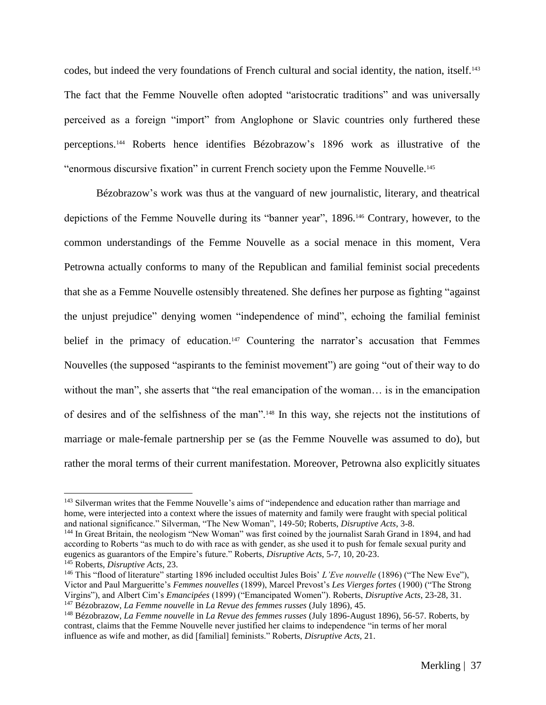codes, but indeed the very foundations of French cultural and social identity, the nation, itself.<sup>143</sup> The fact that the Femme Nouvelle often adopted "aristocratic traditions" and was universally perceived as a foreign "import" from Anglophone or Slavic countries only furthered these perceptions.<sup>144</sup> Roberts hence identifies Bézobrazow's 1896 work as illustrative of the "enormous discursive fixation" in current French society upon the Femme Nouvelle. 145

Bézobrazow's work was thus at the vanguard of new journalistic, literary, and theatrical depictions of the Femme Nouvelle during its "banner year", 1896. <sup>146</sup> Contrary, however, to the common understandings of the Femme Nouvelle as a social menace in this moment, Vera Petrowna actually conforms to many of the Republican and familial feminist social precedents that she as a Femme Nouvelle ostensibly threatened. She defines her purpose as fighting "against the unjust prejudice" denying women "independence of mind", echoing the familial feminist belief in the primacy of education.<sup>147</sup> Countering the narrator's accusation that Femmes Nouvelles (the supposed "aspirants to the feminist movement") are going "out of their way to do without the man", she asserts that "the real emancipation of the woman… is in the emancipation of desires and of the selfishness of the man".<sup>148</sup> In this way, she rejects not the institutions of marriage or male-female partnership per se (as the Femme Nouvelle was assumed to do), but rather the moral terms of their current manifestation. Moreover, Petrowna also explicitly situates

<sup>&</sup>lt;sup>143</sup> Silverman writes that the Femme Nouvelle's aims of "independence and education rather than marriage and home, were interjected into a context where the issues of maternity and family were fraught with special political and national significance." Silverman, "The New Woman", 149-50; Roberts, *Disruptive Acts*, 3-8.

<sup>144</sup> In Great Britain, the neologism "New Woman" was first coined by the journalist Sarah Grand in 1894, and had according to Roberts "as much to do with race as with gender, as she used it to push for female sexual purity and eugenics as guarantors of the Empire's future." Roberts, *Disruptive Acts*, 5-7, 10, 20-23. <sup>145</sup> Roberts, *Disruptive Acts*, 23.

<sup>146</sup> This "flood of literature" starting 1896 included occultist Jules Bois' *L'Eve nouvelle* (1896) ("The New Eve"), Victor and Paul Margueritte's *Femmes nouvelles* (1899), Marcel Prevost's *Les Vierges fortes* (1900) ("The Strong Virgins"), and Albert Cim's *Emancipées* (1899) ("Emancipated Women"). Roberts, *Disruptive Acts*, 23-28, 31. <sup>147</sup> Bézobrazow, *La Femme nouvelle* in *La Revue des femmes russes* (July 1896), 45.

<sup>148</sup> Bézobrazow, *La Femme nouvelle* in *La Revue des femmes russes* (July 1896-August 1896), 56-57. Roberts, by contrast, claims that the Femme Nouvelle never justified her claims to independence "in terms of her moral influence as wife and mother, as did [familial] feminists." Roberts, *Disruptive Acts*, 21.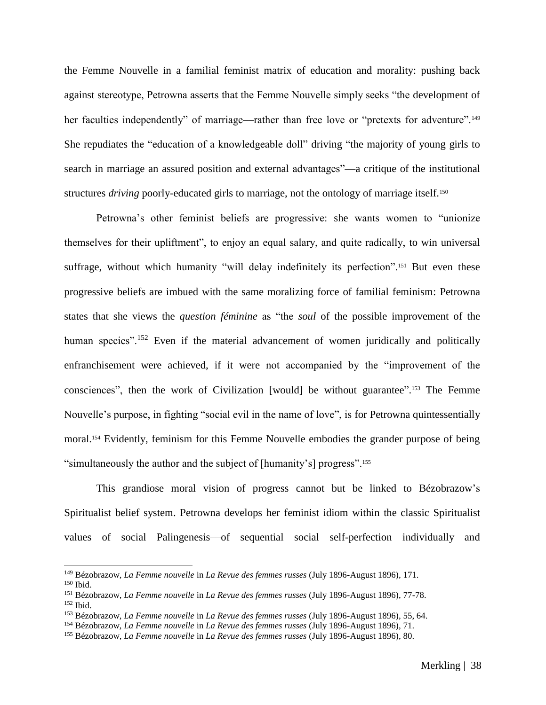the Femme Nouvelle in a familial feminist matrix of education and morality: pushing back against stereotype, Petrowna asserts that the Femme Nouvelle simply seeks "the development of her faculties independently" of marriage—rather than free love or "pretexts for adventure".<sup>149</sup> She repudiates the "education of a knowledgeable doll" driving "the majority of young girls to search in marriage an assured position and external advantages"—a critique of the institutional structures *driving* poorly-educated girls to marriage, not the ontology of marriage itself.<sup>150</sup>

Petrowna's other feminist beliefs are progressive: she wants women to "unionize themselves for their upliftment", to enjoy an equal salary, and quite radically, to win universal suffrage, without which humanity "will delay indefinitely its perfection".<sup>151</sup> But even these progressive beliefs are imbued with the same moralizing force of familial feminism: Petrowna states that she views the *question féminine* as "the *soul* of the possible improvement of the human species".<sup>152</sup> Even if the material advancement of women juridically and politically enfranchisement were achieved, if it were not accompanied by the "improvement of the consciences", then the work of Civilization [would] be without guarantee". <sup>153</sup> The Femme Nouvelle's purpose, in fighting "social evil in the name of love", is for Petrowna quintessentially moral.<sup>154</sup> Evidently, feminism for this Femme Nouvelle embodies the grander purpose of being "simultaneously the author and the subject of [humanity's] progress".<sup>155</sup>

This grandiose moral vision of progress cannot but be linked to Bézobrazow's Spiritualist belief system. Petrowna develops her feminist idiom within the classic Spiritualist values of social Palingenesis––of sequential social self-perfection individually and

<sup>149</sup> Bézobrazow, *La Femme nouvelle* in *La Revue des femmes russes* (July 1896-August 1896), 171.

<sup>150</sup> Ibid.

<sup>151</sup> Bézobrazow, *La Femme nouvelle* in *La Revue des femmes russes* (July 1896-August 1896), 77-78.  $152$  Ibid.

<sup>153</sup> Bézobrazow, *La Femme nouvelle* in *La Revue des femmes russes* (July 1896-August 1896), 55, 64.

<sup>154</sup> Bézobrazow, *La Femme nouvelle* in *La Revue des femmes russes* (July 1896-August 1896), 71.

<sup>155</sup> Bézobrazow, *La Femme nouvelle* in *La Revue des femmes russes* (July 1896-August 1896), 80.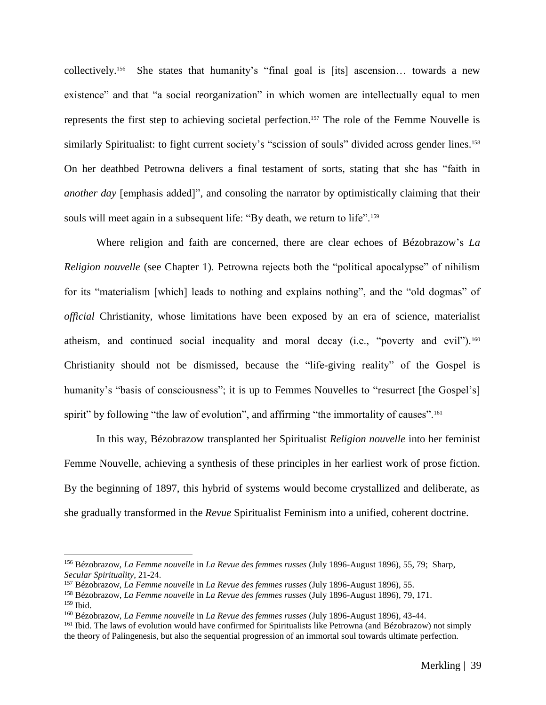collectively. <sup>156</sup> She states that humanity's "final goal is [its] ascension… towards a new existence" and that "a social reorganization" in which women are intellectually equal to men represents the first step to achieving societal perfection.<sup>157</sup> The role of the Femme Nouvelle is similarly Spiritualist: to fight current society's "scission of souls" divided across gender lines.<sup>158</sup> On her deathbed Petrowna delivers a final testament of sorts, stating that she has "faith in *another day* [emphasis added]", and consoling the narrator by optimistically claiming that their souls will meet again in a subsequent life: "By death, we return to life".<sup>159</sup>

Where religion and faith are concerned, there are clear echoes of Bézobrazow's *La Religion nouvelle* (see Chapter 1). Petrowna rejects both the "political apocalypse" of nihilism for its "materialism [which] leads to nothing and explains nothing", and the "old dogmas" of *official* Christianity, whose limitations have been exposed by an era of science, materialist atheism, and continued social inequality and moral decay (i.e., "poverty and evil").<sup>160</sup> Christianity should not be dismissed, because the "life-giving reality" of the Gospel is humanity's "basis of consciousness"; it is up to Femmes Nouvelles to "resurrect [the Gospel's] spirit" by following "the law of evolution", and affirming "the immortality of causes".<sup>161</sup>

In this way, Bézobrazow transplanted her Spiritualist *Religion nouvelle* into her feminist Femme Nouvelle, achieving a synthesis of these principles in her earliest work of prose fiction. By the beginning of 1897, this hybrid of systems would become crystallized and deliberate, as she gradually transformed in the *Revue* Spiritualist Feminism into a unified, coherent doctrine.

<sup>156</sup> Bézobrazow, *La Femme nouvelle* in *La Revue des femmes russes* (July 1896-August 1896), 55, 79; Sharp, *Secular Spirituality*, 21-24.

<sup>157</sup> Bézobrazow, *La Femme nouvelle* in *La Revue des femmes russes* (July 1896-August 1896), 55.

<sup>158</sup> Bézobrazow, *La Femme nouvelle* in *La Revue des femmes russes* (July 1896-August 1896), 79, 171.

<sup>159</sup> Ibid.

<sup>160</sup> Bézobrazow, *La Femme nouvelle* in *La Revue des femmes russes* (July 1896-August 1896), 43-44.

<sup>&</sup>lt;sup>161</sup> Ibid. The laws of evolution would have confirmed for Spiritualists like Petrowna (and Bézobrazow) not simply the theory of Palingenesis, but also the sequential progression of an immortal soul towards ultimate perfection.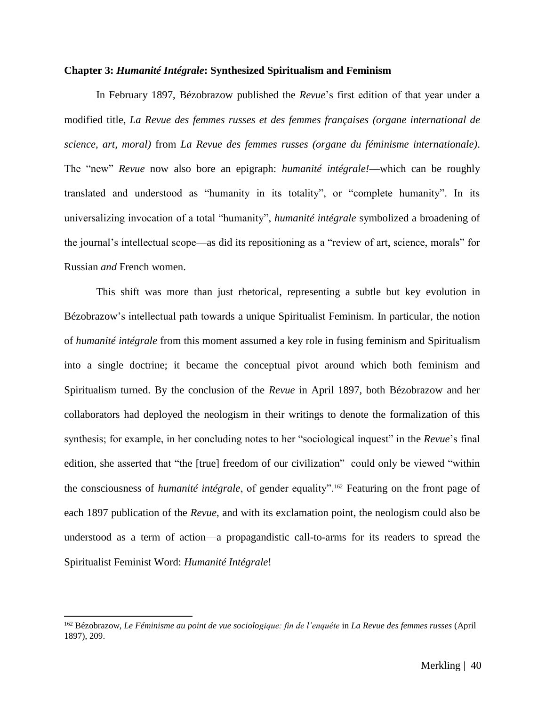#### **Chapter 3:** *Humanité Intégrale***: Synthesized Spiritualism and Feminism**

In February 1897, Bézobrazow published the *Revue*'s first edition of that year under a modified title, *La Revue des femmes russes et des femmes françaises (organe international de science, art, moral)* from *La Revue des femmes russes (organe du féminisme internationale)*. The "new" *Revue* now also bore an epigraph: *humanité intégrale!*––which can be roughly translated and understood as "humanity in its totality", or "complete humanity". In its universalizing invocation of a total "humanity", *humanité intégrale* symbolized a broadening of the journal's intellectual scope––as did its repositioning as a "review of art, science, morals" for Russian *and* French women.

This shift was more than just rhetorical, representing a subtle but key evolution in Bézobrazow's intellectual path towards a unique Spiritualist Feminism. In particular, the notion of *humanité intégrale* from this moment assumed a key role in fusing feminism and Spiritualism into a single doctrine; it became the conceptual pivot around which both feminism and Spiritualism turned. By the conclusion of the *Revue* in April 1897, both Bézobrazow and her collaborators had deployed the neologism in their writings to denote the formalization of this synthesis; for example, in her concluding notes to her "sociological inquest" in the *Revue*'s final edition, she asserted that "the [true] freedom of our civilization" could only be viewed "within the consciousness of *humanité intégrale*, of gender equality".<sup>162</sup> Featuring on the front page of each 1897 publication of the *Revue*, and with its exclamation point, the neologism could also be understood as a term of action––a propagandistic call-to-arms for its readers to spread the Spiritualist Feminist Word: *Humanité Intégrale*!

<sup>&</sup>lt;sup>162</sup> Bézobrazow, *Le Féminisme au point de vue sociologique: fin de l'enquête* in *La Revue des femmes russes* (April 1897), 209.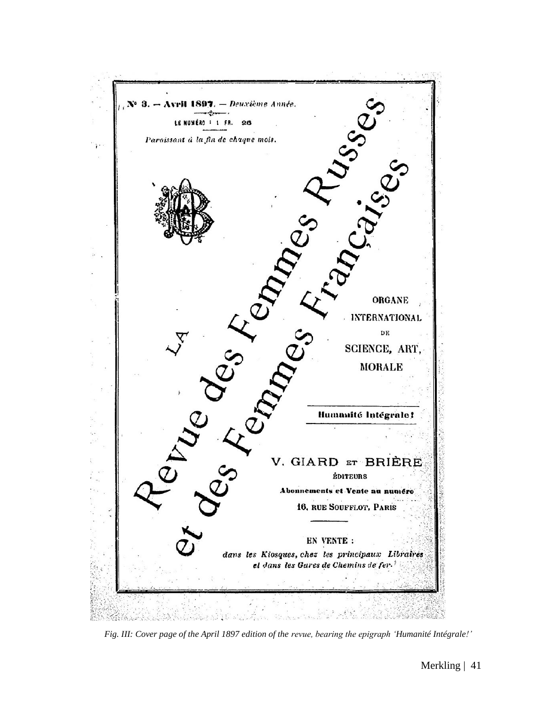

*Fig. III: Cover page of the April 1897 edition of the revue, bearing the epigraph 'Humanité Intégrale!'*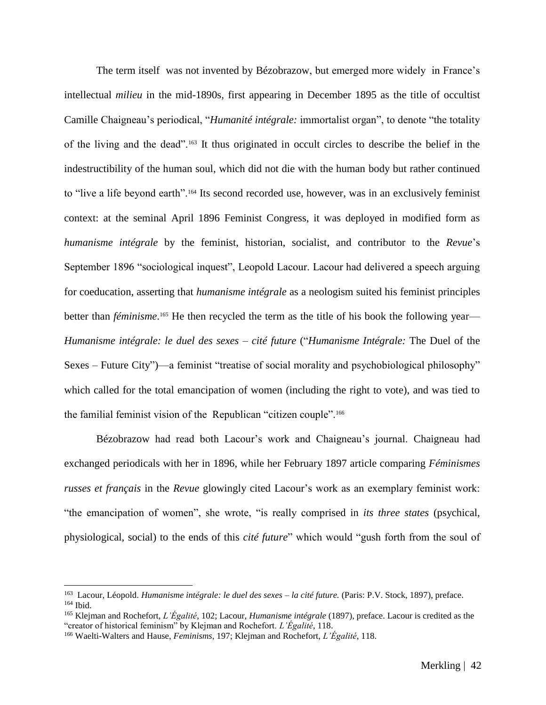The term itself was not invented by Bézobrazow, but emerged more widely in France's intellectual *milieu* in the mid-1890s*,* first appearing in December 1895 as the title of occultist Camille Chaigneau's periodical, "*Humanité intégrale:* immortalist organ", to denote "the totality of the living and the dead".<sup>163</sup> It thus originated in occult circles to describe the belief in the indestructibility of the human soul, which did not die with the human body but rather continued to "live a life beyond earth".<sup>164</sup> Its second recorded use, however, was in an exclusively feminist context: at the seminal April 1896 Feminist Congress, it was deployed in modified form as *humanisme intégrale* by the feminist, historian, socialist, and contributor to the *Revue*'s September 1896 "sociological inquest", Leopold Lacour. Lacour had delivered a speech arguing for coeducation, asserting that *humanisme intégrale* as a neologism suited his feminist principles better than *féminisme*.<sup>165</sup> He then recycled the term as the title of his book the following year-*Humanisme intégrale: le duel des sexes – cité future* ("*Humanisme Intégrale:* The Duel of the Sexes – Future City")––a feminist "treatise of social morality and psychobiological philosophy" which called for the total emancipation of women (including the right to vote), and was tied to the familial feminist vision of the Republican "citizen couple".<sup>166</sup>

Bézobrazow had read both Lacour's work and Chaigneau's journal. Chaigneau had exchanged periodicals with her in 1896, while her February 1897 article comparing *Féminismes russes et français* in the *Revue* glowingly cited Lacour's work as an exemplary feminist work: "the emancipation of women", she wrote, "is really comprised in *its three states* (psychical, physiological, social) to the ends of this *cité future*" which would "gush forth from the soul of

<sup>&</sup>lt;sup>163</sup> Lacour, Léopold. *Humanisme intégrale: le duel des sexes – la cité future*. (Paris: P.V. Stock, 1897), preface. <sup>164</sup> Ibid.

<sup>165</sup> Klejman and Rochefort, *L'Égalité*, 102; Lacour, *Humanisme intégrale* (1897), preface. Lacour is credited as the "creator of historical feminism" by Klejman and Rochefort. *L'Égalité*, 118.

<sup>166</sup> Waelti-Walters and Hause, *Feminisms*, 197; Klejman and Rochefort, *L'Égalité*, 118.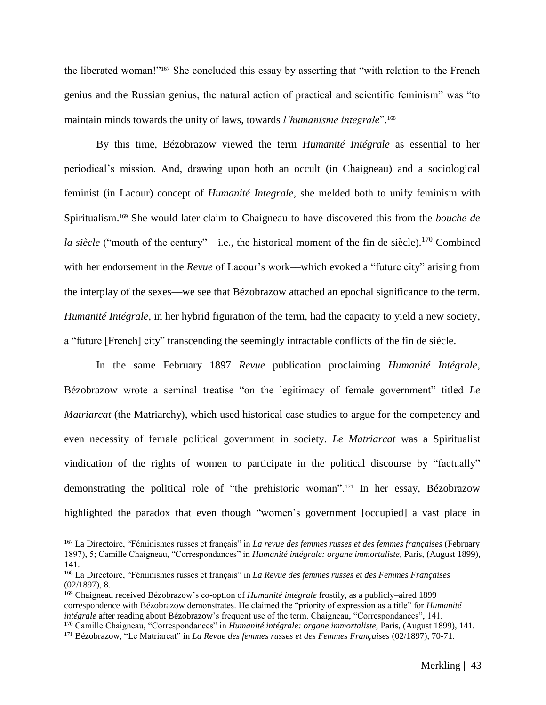the liberated woman!"<sup>167</sup> She concluded this essay by asserting that "with relation to the French genius and the Russian genius, the natural action of practical and scientific feminism" was "to maintain minds towards the unity of laws, towards *l'humanisme integrale*".<sup>168</sup>

By this time, Bézobrazow viewed the term *Humanité Intégrale* as essential to her periodical's mission. And, drawing upon both an occult (in Chaigneau) and a sociological feminist (in Lacour) concept of *Humanité Integrale*, she melded both to unify feminism with Spiritualism.<sup>169</sup> She would later claim to Chaigneau to have discovered this from the *bouche de la siècle* ("mouth of the century"—*i.e.*, the historical moment of the fin de siècle).<sup>170</sup> Combined with her endorsement in the *Revue* of Lacour's work––which evoked a "future city" arising from the interplay of the sexes––we see that Bézobrazow attached an epochal significance to the term. *Humanité Intégrale,* in her hybrid figuration of the term, had the capacity to yield a new society, a "future [French] city" transcending the seemingly intractable conflicts of the fin de siècle.

In the same February 1897 *Revue* publication proclaiming *Humanité Intégrale*, Bézobrazow wrote a seminal treatise "on the legitimacy of female government" titled *Le Matriarcat* (the Matriarchy), which used historical case studies to argue for the competency and even necessity of female political government in society. *Le Matriarcat* was a Spiritualist vindication of the rights of women to participate in the political discourse by "factually" demonstrating the political role of "the prehistoric woman".<sup>171</sup> In her essay, Bézobrazow highlighted the paradox that even though "women's government [occupied] a vast place in

<sup>167</sup> La Directoire, "Féminismes russes et français" in *La revue des femmes russes et des femmes françaises* (February 1897), 5; Camille Chaigneau, "Correspondances" in *Humanité intégrale: organe immortaliste*, Paris, (August 1899), 141.

<sup>168</sup> La Directoire, "Féminismes russes et français" in *La Revue des femmes russes et des Femmes Françaises* (02/1897), 8.

<sup>169</sup> Chaigneau received Bézobrazow's co-option of *Humanité intégrale* frostily, as a publicly–aired 1899 correspondence with Bézobrazow demonstrates. He claimed the "priority of expression as a title" for *Humanité intégrale* after reading about Bézobrazow's frequent use of the term. Chaigneau, "Correspondances", 141. <sup>170</sup> Camille Chaigneau, "Correspondances" in *Humanité intégrale: organe immortaliste*, Paris, (August 1899), 141.

<sup>171</sup> Bézobrazow, "Le Matriarcat" in *La Revue des femmes russes et des Femmes Françaises* (02/1897), 70-71.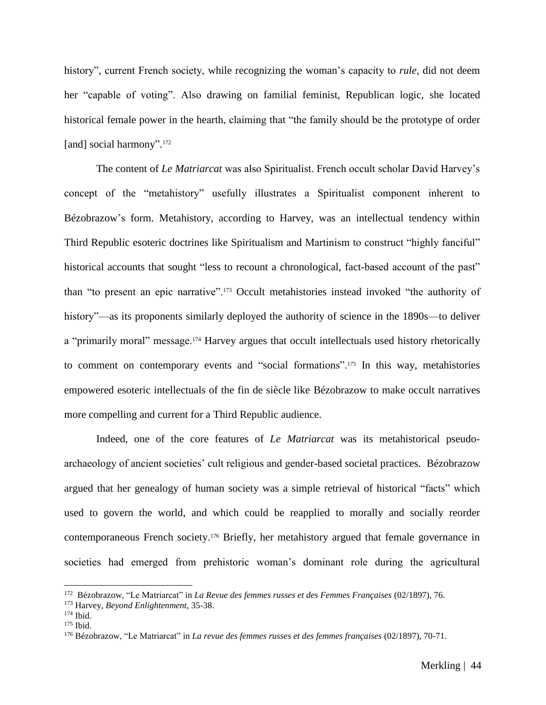history", current French society, while recognizing the woman's capacity to *rule*, did not deem her "capable of voting". Also drawing on familial feminist, Republican logic, she located historical female power in the hearth, claiming that "the family should be the prototype of order [and] social harmony".<sup>172</sup>

The content of *Le Matriarcat* was also Spiritualist. French occult scholar David Harvey's concept of the "metahistory" usefully illustrates a Spiritualist component inherent to Bézobrazow's form. Metahistory, according to Harvey, was an intellectual tendency within Third Republic esoteric doctrines like Spiritualism and Martinism to construct "highly fanciful" historical accounts that sought "less to recount a chronological, fact-based account of the past" than "to present an epic narrative".<sup>173</sup> Occult metahistories instead invoked "the authority of history"—as its proponents similarly deployed the authority of science in the 1890s—to deliver a "primarily moral" message.<sup>174</sup> Harvey argues that occult intellectuals used history rhetorically to comment on contemporary events and "social formations".<sup>175</sup> In this way, metahistories empowered esoteric intellectuals of the fin de siècle like Bézobrazow to make occult narratives more compelling and current for a Third Republic audience.

Indeed, one of the core features of *Le Matriarcat* was its metahistorical pseudoarchaeology of ancient societies' cult religious and gender-based societal practices. Bézobrazow argued that her genealogy of human society was a simple retrieval of historical "facts" which used to govern the world, and which could be reapplied to morally and socially reorder contemporaneous French society.<sup>176</sup> Briefly, her metahistory argued that female governance in societies had emerged from prehistoric woman's dominant role during the agricultural

<sup>172</sup> Bézobrazow, "Le Matriarcat" in *La Revue des femmes russes et des Femmes Françaises* (02/1897), 76.

<sup>173</sup> Harvey, *Beyond Enlightenment*, 35-38.

<sup>174</sup> Ibid.

 $175$  Ibid.

<sup>176</sup> Bézobrazow, "Le Matriarcat" in *La revue des femmes russes et des femmes françaises* (02/1897), 70-71.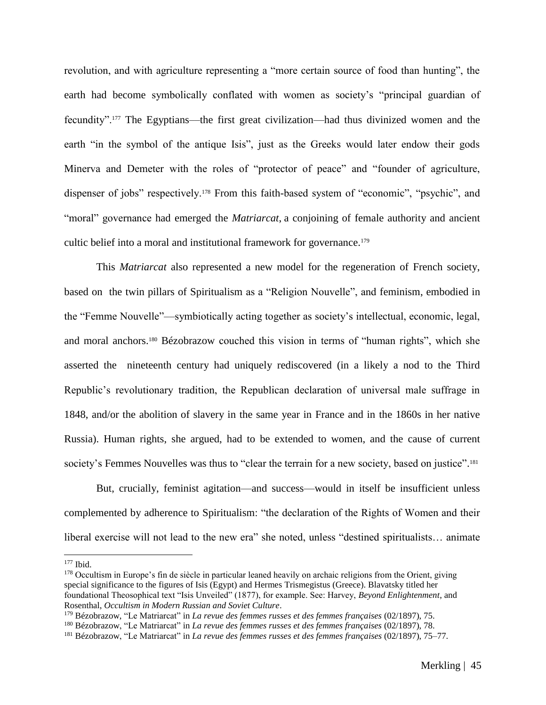revolution, and with agriculture representing a "more certain source of food than hunting", the earth had become symbolically conflated with women as society's "principal guardian of fecundity".<sup>177</sup> The Egyptians—the first great civilization—had thus divinized women and the earth "in the symbol of the antique Isis", just as the Greeks would later endow their gods Minerva and Demeter with the roles of "protector of peace" and "founder of agriculture, dispenser of jobs" respectively.<sup>178</sup> From this faith-based system of "economic", "psychic", and "moral" governance had emerged the *Matriarcat*, a conjoining of female authority and ancient cultic belief into a moral and institutional framework for governance.<sup>179</sup>

This *Matriarcat* also represented a new model for the regeneration of French society, based on the twin pillars of Spiritualism as a "Religion Nouvelle", and feminism, embodied in the "Femme Nouvelle"––symbiotically acting together as society's intellectual, economic, legal, and moral anchors.<sup>180</sup> Bézobrazow couched this vision in terms of "human rights", which she asserted the nineteenth century had uniquely rediscovered (in a likely a nod to the Third Republic's revolutionary tradition, the Republican declaration of universal male suffrage in 1848, and/or the abolition of slavery in the same year in France and in the 1860s in her native Russia). Human rights, she argued, had to be extended to women, and the cause of current society's Femmes Nouvelles was thus to "clear the terrain for a new society, based on justice".<sup>181</sup>

But, crucially, feminist agitation––and success––would in itself be insufficient unless complemented by adherence to Spiritualism: "the declaration of the Rights of Women and their liberal exercise will not lead to the new era" she noted, unless "destined spiritualists… animate

<sup>177</sup> Ibid.

 $178$  Occultism in Europe's fin de siècle in particular leaned heavily on archaic religions from the Orient, giving special significance to the figures of Isis (Egypt) and Hermes Trismegistus (Greece). Blavatsky titled her foundational Theosophical text "Isis Unveiled" (1877), for example. See: Harvey, *Beyond Enlightenment*, and Rosenthal, *Occultism in Modern Russian and Soviet Culture*.

<sup>179</sup> Bézobrazow, "Le Matriarcat" in *La revue des femmes russes et des femmes françaises* (02/1897), 75.

<sup>180</sup> Bézobrazow, "Le Matriarcat" in *La revue des femmes russes et des femmes françaises* (02/1897), 78.

<sup>181</sup> Bézobrazow, "Le Matriarcat" in *La revue des femmes russes et des femmes françaises* (02/1897), 75–77.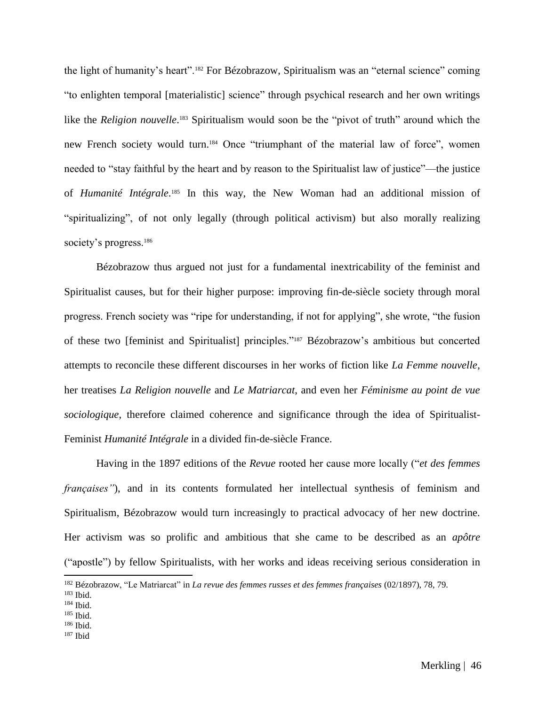the light of humanity's heart".<sup>182</sup> For Bézobrazow, Spiritualism was an "eternal science" coming "to enlighten temporal [materialistic] science" through psychical research and her own writings like the *Religion nouvelle*.<sup>183</sup> Spiritualism would soon be the "pivot of truth" around which the new French society would turn.<sup>184</sup> Once "triumphant of the material law of force", women needed to "stay faithful by the heart and by reason to the Spiritualist law of justice"––the justice of *Humanité Intégrale*. <sup>185</sup> In this way, the New Woman had an additional mission of "spiritualizing", of not only legally (through political activism) but also morally realizing society's progress.<sup>186</sup>

Bézobrazow thus argued not just for a fundamental inextricability of the feminist and Spiritualist causes, but for their higher purpose: improving fin-de-siècle society through moral progress. French society was "ripe for understanding, if not for applying", she wrote, "the fusion of these two [feminist and Spiritualist] principles."<sup>187</sup> Bézobrazow's ambitious but concerted attempts to reconcile these different discourses in her works of fiction like *La Femme nouvelle*, her treatises *La Religion nouvelle* and *Le Matriarcat*, and even her *Féminisme au point de vue sociologique*, therefore claimed coherence and significance through the idea of Spiritualist-Feminist *Humanité Intégrale* in a divided fin-de-siècle France.

Having in the 1897 editions of the *Revue* rooted her cause more locally ("*et des femmes françaises*"), and in its contents formulated her intellectual synthesis of feminism and Spiritualism, Bézobrazow would turn increasingly to practical advocacy of her new doctrine. Her activism was so prolific and ambitious that she came to be described as an *apôtre*  ("apostle") by fellow Spiritualists, with her works and ideas receiving serious consideration in

- <sup>186</sup> Ibid.
- $187$  Ibid

<sup>182</sup> Bézobrazow, "Le Matriarcat" in *La revue des femmes russes et des femmes françaises* (02/1897), 78, 79.

<sup>183</sup> Ibid.

<sup>184</sup> Ibid.

<sup>185</sup> Ibid.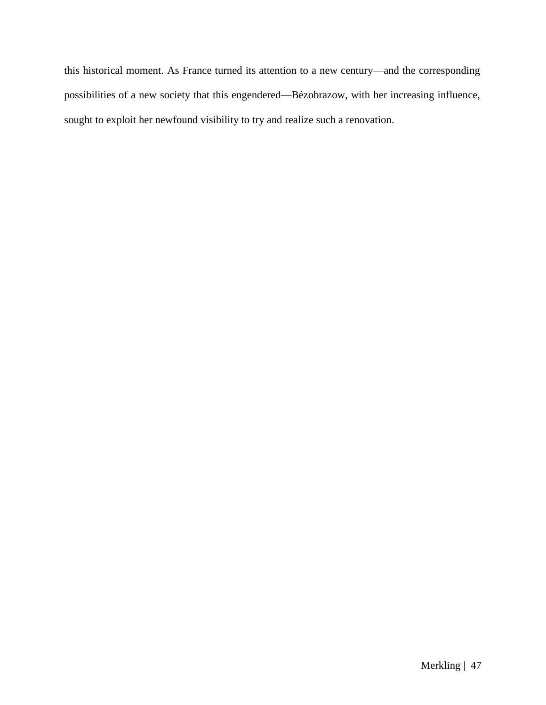this historical moment. As France turned its attention to a new century—and the corresponding possibilities of a new society that this engendered—Bézobrazow, with her increasing influence, sought to exploit her newfound visibility to try and realize such a renovation.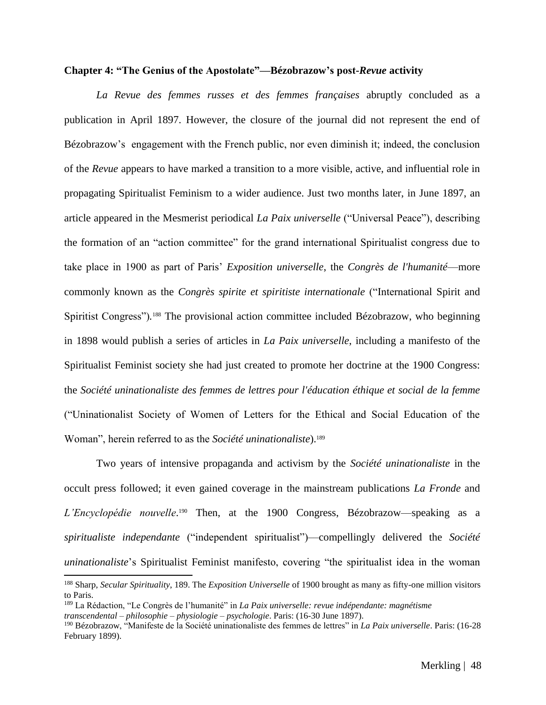#### **Chapter 4: "The Genius of the Apostolate"––Bézobrazow's post-***Revue* **activity**

*La Revue des femmes russes et des femmes françaises* abruptly concluded as a publication in April 1897. However, the closure of the journal did not represent the end of Bézobrazow's engagement with the French public, nor even diminish it; indeed, the conclusion of the *Revue* appears to have marked a transition to a more visible, active, and influential role in propagating Spiritualist Feminism to a wider audience. Just two months later, in June 1897, an article appeared in the Mesmerist periodical *La Paix universelle* ("Universal Peace"), describing the formation of an "action committee" for the grand international Spiritualist congress due to take place in 1900 as part of Paris' *Exposition universelle*, the *Congrès de l'humanité––*more commonly known as the *Congrès spirite et spiritiste internationale* ("International Spirit and Spiritist Congress")*.* <sup>188</sup> The provisional action committee included Bézobrazow, who beginning in 1898 would publish a series of articles in *La Paix universelle*, including a manifesto of the Spiritualist Feminist society she had just created to promote her doctrine at the 1900 Congress: the *Société uninationaliste des femmes de lettres pour l'éducation éthique et social de la femme*  ("Uninationalist Society of Women of Letters for the Ethical and Social Education of the Woman", herein referred to as the *Société uninationaliste*). 189

Two years of intensive propaganda and activism by the *Société uninationaliste* in the occult press followed; it even gained coverage in the mainstream publications *La Fronde* and L'Encyclopédie nouvelle.<sup>190</sup> Then, at the 1900 Congress, Bézobrazow—speaking as a *spiritualiste independante* ("independent spiritualist")––compellingly delivered the *Société uninationaliste*'s Spiritualist Feminist manifesto, covering "the spiritualist idea in the woman

<sup>188</sup> Sharp, *Secular Spirituality*, 189. The *Exposition Universelle* of 1900 brought as many as fifty-one million visitors to Paris.

<sup>189</sup> La Rédaction, "Le Congrès de l'humanité" in *La Paix universelle: revue indépendante: magnétisme transcendental – philosophie – physiologie – psychologie*. Paris: (16-30 June 1897).

<sup>190</sup> Bézobrazow, "Manifeste de la Société uninationaliste des femmes de lettres" in *La Paix universelle*. Paris: (16-28 February 1899).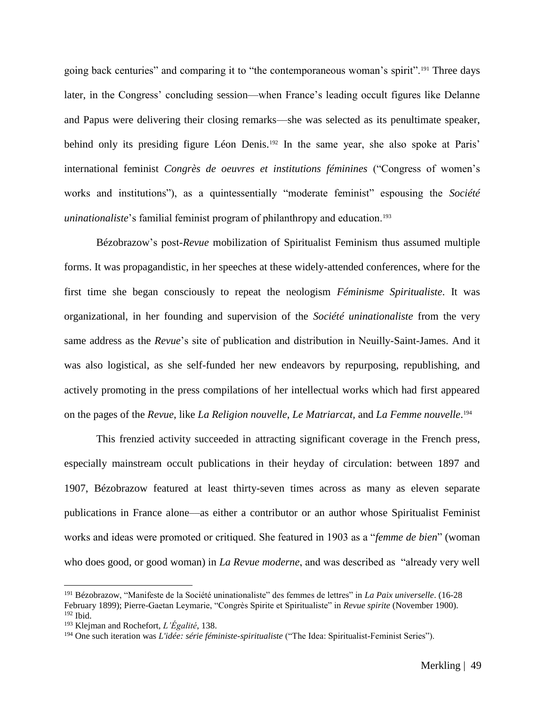going back centuries" and comparing it to "the contemporaneous woman's spirit".<sup>191</sup> Three days later, in the Congress' concluding session––when France's leading occult figures like Delanne and Papus were delivering their closing remarks––she was selected as its penultimate speaker, behind only its presiding figure Léon Denis.<sup>192</sup> In the same year, she also spoke at Paris' international feminist *Congrès de oeuvres et institutions féminines* ("Congress of women's works and institutions"), as a quintessentially "moderate feminist" espousing the *Société uninationaliste*'s familial feminist program of philanthropy and education.<sup>193</sup>

Bézobrazow's post-*Revue* mobilization of Spiritualist Feminism thus assumed multiple forms. It was propagandistic, in her speeches at these widely-attended conferences, where for the first time she began consciously to repeat the neologism *Féminisme Spiritualiste*. It was organizational, in her founding and supervision of the *Société uninationaliste* from the very same address as the *Revue*'s site of publication and distribution in Neuilly-Saint-James. And it was also logistical, as she self-funded her new endeavors by repurposing, republishing, and actively promoting in the press compilations of her intellectual works which had first appeared on the pages of the *Revue*, like *La Religion nouvelle*, *Le Matriarcat,* and *La Femme nouvelle*. 194

This frenzied activity succeeded in attracting significant coverage in the French press, especially mainstream occult publications in their heyday of circulation: between 1897 and 1907, Bézobrazow featured at least thirty-seven times across as many as eleven separate publications in France alone––as either a contributor or an author whose Spiritualist Feminist works and ideas were promoted or critiqued. She featured in 1903 as a "*femme de bien*" (woman who does good, or good woman) in *La Revue moderne*, and was described as "already very well

<sup>191</sup> Bézobrazow, "Manifeste de la Société uninationaliste" des femmes de lettres" in *La Paix universelle*. (16-28 February 1899); Pierre-Gaetan Leymarie, "Congrès Spirite et Spiritualiste" in *Revue spirite* (November 1900).  $192$  Ibid.

<sup>193</sup> Klejman and Rochefort, *L'Égalité*, 138.

<sup>194</sup> One such iteration was *L'idée: série féministe-spiritualiste* ("The Idea: Spiritualist-Feminist Series").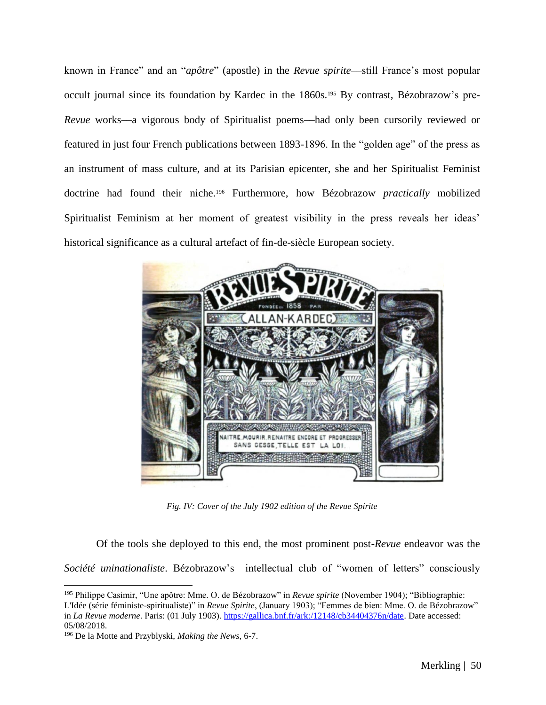known in France" and an "*apôtre*" (apostle) in the *Revue spirite*––still France's most popular occult journal since its foundation by Kardec in the 1860s.<sup>195</sup> By contrast, Bézobrazow's pre-*Revue* works––a vigorous body of Spiritualist poems––had only been cursorily reviewed or featured in just four French publications between 1893-1896. In the "golden age" of the press as an instrument of mass culture, and at its Parisian epicenter, she and her Spiritualist Feminist doctrine had found their niche.<sup>196</sup> Furthermore, how Bézobrazow *practically* mobilized Spiritualist Feminism at her moment of greatest visibility in the press reveals her ideas' historical significance as a cultural artefact of fin-de-siècle European society.



*Fig. IV: Cover of the July 1902 edition of the Revue Spirite* 

Of the tools she deployed to this end, the most prominent post-*Revue* endeavor was the

*Société uninationaliste*. Bézobrazow's intellectual club of "women of letters" consciously

<sup>195</sup> Philippe Casimir, "Une apôtre: Mme. O. de Bézobrazow" in *Revue spirite* (November 1904); "Bibliographie: L'Idée (série féministe-spiritualiste)" in *Revue Spirite*, (January 1903); "Femmes de bien: Mme. O. de Bézobrazow" in *La Revue moderne*. Paris: (01 July 1903). [https://gallica.bnf.fr/ark:/12148/cb34404376n/date.](https://gallica.bnf.fr/ark:/12148/cb34404376n/date) Date accessed: 05/08/2018.

<sup>196</sup> De la Motte and Przyblyski, *Making the News*, 6-7.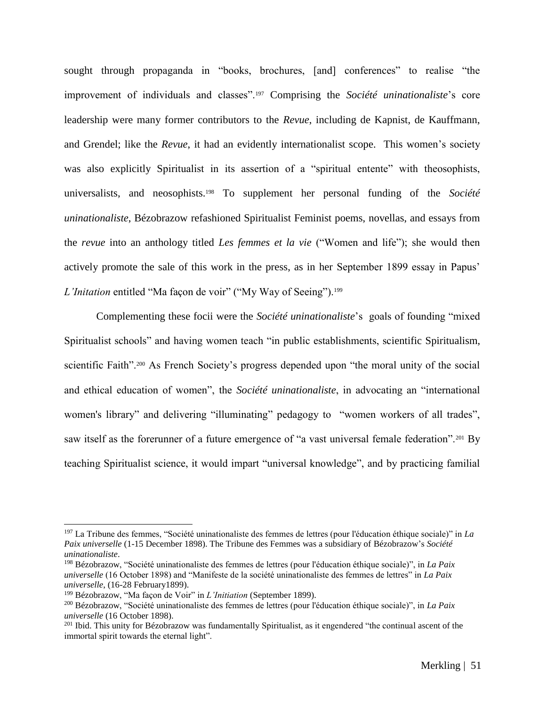sought through propaganda in "books, brochures, [and] conferences" to realise "the improvement of individuals and classes".<sup>197</sup> Comprising the *Société uninationaliste*'s core leadership were many former contributors to the *Revue*, including de Kapnist, de Kauffmann, and Grendel; like the *Revue*, it had an evidently internationalist scope. This women's society was also explicitly Spiritualist in its assertion of a "spiritual entente" with theosophists, universalists, and neosophists.<sup>198</sup> To supplement her personal funding of the *Société uninationaliste*, Bézobrazow refashioned Spiritualist Feminist poems, novellas, and essays from the *revue* into an anthology titled *Les femmes et la vie* ("Women and life"); she would then actively promote the sale of this work in the press, as in her September 1899 essay in Papus' *L'Initation* entitled "Ma façon de voir" ("My Way of Seeing").<sup>199</sup>

Complementing these focii were the *Société uninationaliste*'s goals of founding "mixed Spiritualist schools" and having women teach "in public establishments, scientific Spiritualism, scientific Faith".<sup>200</sup> As French Society's progress depended upon "the moral unity of the social and ethical education of women", the *Société uninationaliste*, in advocating an "international women's library" and delivering "illuminating" pedagogy to "women workers of all trades", saw itself as the forerunner of a future emergence of "a vast universal female federation".<sup>201</sup> Bv teaching Spiritualist science, it would impart "universal knowledge", and by practicing familial

<sup>197</sup> La Tribune des femmes, "Société uninationaliste des femmes de lettres (pour l'éducation éthique sociale)" in *La Paix universelle* (1-15 December 1898). The Tribune des Femmes was a subsidiary of Bézobrazow's *Société uninationaliste*.

<sup>198</sup> Bézobrazow, "Société uninationaliste des femmes de lettres (pour l'éducation éthique sociale)", in *La Paix universelle* (16 October 1898) and "Manifeste de la société uninationaliste des femmes de lettres" in *La Paix universelle*, (16-28 February1899).

<sup>199</sup> Bézobrazow, "Ma façon de Voir" in *L'Initiation* (September 1899).

<sup>200</sup> Bézobrazow, "Société uninationaliste des femmes de lettres (pour l'éducation éthique sociale)", in *La Paix universelle* (16 October 1898).

<sup>&</sup>lt;sup>201</sup> Ibid. This unity for Bézobrazow was fundamentally Spiritualist, as it engendered "the continual ascent of the immortal spirit towards the eternal light".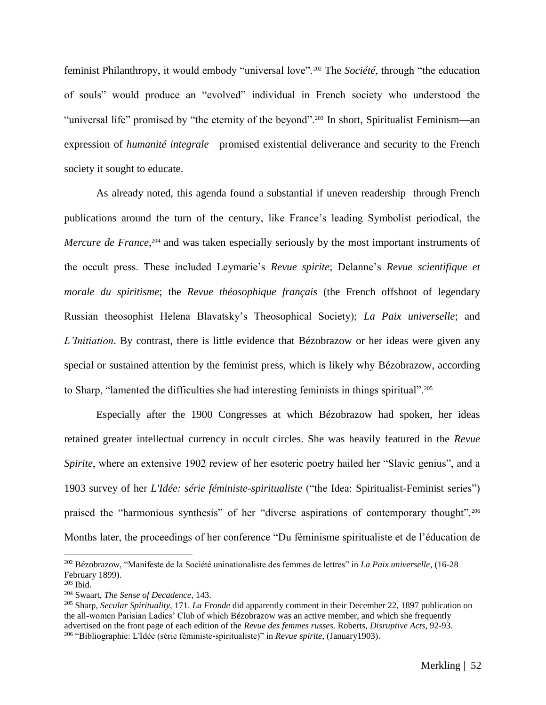feminist Philanthropy, it would embody "universal love".<sup>202</sup> The *Société*, through "the education of souls" would produce an "evolved" individual in French society who understood the "universal life" promised by "the eternity of the beyond".<sup>203</sup> In short, Spiritualist Feminism—an expression of *humanité integrale*—promised existential deliverance and security to the French society it sought to educate.

As already noted, this agenda found a substantial if uneven readership through French publications around the turn of the century, like France's leading Symbolist periodical, the Mercure de France,<sup>204</sup> and was taken especially seriously by the most important instruments of the occult press. These included Leymarie's *Revue spirite*; Delanne's *Revue scientifique et morale du spiritisme*; the *Revue théosophique français* (the French offshoot of legendary Russian theosophist Helena Blavatsky's Theosophical Society); *La Paix universelle*; and *L'Initiation*. By contrast, there is little evidence that Bézobrazow or her ideas were given any special or sustained attention by the feminist press, which is likely why Bézobrazow, according to Sharp, "lamented the difficulties she had interesting feminists in things spiritual".<sup>205</sup>

Especially after the 1900 Congresses at which Bézobrazow had spoken, her ideas retained greater intellectual currency in occult circles. She was heavily featured in the *Revue Spirite*, where an extensive 1902 review of her esoteric poetry hailed her "Slavic genius", and a 1903 survey of her *L'Idée: série féministe-spiritualiste* ("the Idea: Spiritualist-Feminist series") praised the "harmonious synthesis" of her "diverse aspirations of contemporary thought".<sup>206</sup> Months later, the proceedings of her conference "Du féminisme spiritualiste et de l'éducation de

<sup>202</sup> Bézobrazow, "Manifeste de la Société uninationaliste des femmes de lettres" in *La Paix universelle*, (16-28 February 1899).

 $203$  Ibid.

<sup>204</sup> Swaart, *The Sense of Decadence*, 143.

<sup>205</sup> Sharp, *Secular Spirituality*, 171. *La Fronde* did apparently comment in their December 22, 1897 publication on the all-women Parisian Ladies' Club of which Bézobrazow was an active member, and which she frequently advertised on the front page of each edition of the *Revue des femmes russes*. Roberts, *Disruptive Acts*, 92-93. <sup>206</sup> "Bibliographie: L'Idée (série féministe-spiritualiste)" in *Revue spirite*, (January1903).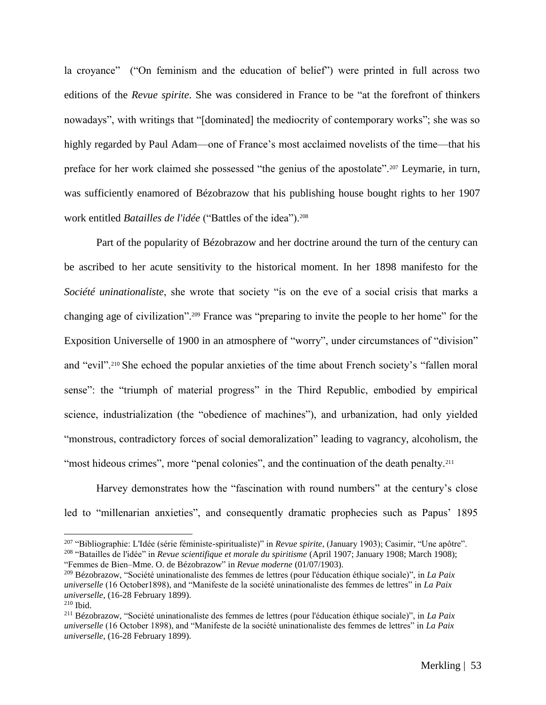la croyance" ("On feminism and the education of belief") were printed in full across two editions of the *Revue spirite*. She was considered in France to be "at the forefront of thinkers nowadays", with writings that "[dominated] the mediocrity of contemporary works"; she was so highly regarded by Paul Adam—one of France's most acclaimed novelists of the time—that his preface for her work claimed she possessed "the genius of the apostolate".<sup>207</sup> Leymarie, in turn, was sufficiently enamored of Bézobrazow that his publishing house bought rights to her 1907 work entitled *Batailles de l'idée* ("Battles of the idea").<sup>208</sup>

Part of the popularity of Bézobrazow and her doctrine around the turn of the century can be ascribed to her acute sensitivity to the historical moment. In her 1898 manifesto for the *Société uninationaliste*, she wrote that society "is on the eve of a social crisis that marks a changing age of civilization".<sup>209</sup> France was "preparing to invite the people to her home" for the Exposition Universelle of 1900 in an atmosphere of "worry", under circumstances of "division" and "evil".<sup>210</sup> She echoed the popular anxieties of the time about French society's "fallen moral sense": the "triumph of material progress" in the Third Republic, embodied by empirical science, industrialization (the "obedience of machines"), and urbanization, had only yielded "monstrous, contradictory forces of social demoralization" leading to vagrancy, alcoholism, the "most hideous crimes", more "penal colonies", and the continuation of the death penalty.<sup>211</sup>

Harvey demonstrates how the "fascination with round numbers" at the century's close led to "millenarian anxieties", and consequently dramatic prophecies such as Papus' 1895

<sup>207</sup> "Bibliographie: L'Idée (série féministe-spiritualiste)" in *Revue spirite*, (January 1903); Casimir, "Une apôtre". <sup>208</sup> "Batailles de l'idée" in *Revue scientifique et morale du spiritisme* (April 1907; January 1908; March 1908); "Femmes de Bien–Mme. O. de Bézobrazow" in *Revue moderne* (01/07/1903).

<sup>209</sup> Bézobrazow, "Société uninationaliste des femmes de lettres (pour l'éducation éthique sociale)", in *La Paix universelle* (16 October1898), and "Manifeste de la société uninationaliste des femmes de lettres" in *La Paix universelle*, (16-28 February 1899).

 $210$  Ibid.

<sup>211</sup> Bézobrazow, "Société uninationaliste des femmes de lettres (pour l'éducation éthique sociale)", in *La Paix universelle* (16 October 1898), and "Manifeste de la société uninationaliste des femmes de lettres" in *La Paix universelle*, (16-28 February 1899).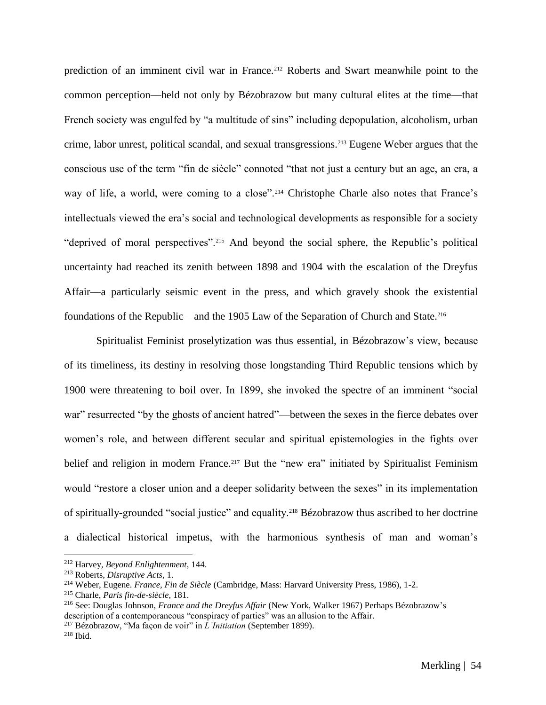prediction of an imminent civil war in France.<sup>212</sup> Roberts and Swart meanwhile point to the common perception––held not only by Bézobrazow but many cultural elites at the time––that French society was engulfed by "a multitude of sins" including depopulation, alcoholism, urban crime, labor unrest, political scandal, and sexual transgressions.<sup>213</sup> Eugene Weber argues that the conscious use of the term "fin de siècle" connoted "that not just a century but an age, an era, a way of life, a world, were coming to a close".<sup>214</sup> Christophe Charle also notes that France's intellectuals viewed the era's social and technological developments as responsible for a society "deprived of moral perspectives".<sup>215</sup> And beyond the social sphere, the Republic's political uncertainty had reached its zenith between 1898 and 1904 with the escalation of the Dreyfus Affair––a particularly seismic event in the press, and which gravely shook the existential foundations of the Republic—and the 1905 Law of the Separation of Church and State.<sup>216</sup>

Spiritualist Feminist proselytization was thus essential, in Bézobrazow's view, because of its timeliness, its destiny in resolving those longstanding Third Republic tensions which by 1900 were threatening to boil over. In 1899, she invoked the spectre of an imminent "social war" resurrected "by the ghosts of ancient hatred"—between the sexes in the fierce debates over women's role, and between different secular and spiritual epistemologies in the fights over belief and religion in modern France.<sup>217</sup> But the "new era" initiated by Spiritualist Feminism would "restore a closer union and a deeper solidarity between the sexes" in its implementation of spiritually-grounded "social justice" and equality.<sup>218</sup> Bézobrazow thus ascribed to her doctrine a dialectical historical impetus, with the harmonious synthesis of man and woman's

<sup>212</sup> Harvey, *Beyond Enlightenment*, 144.

<sup>213</sup> Roberts, *Disruptive Acts*, 1.

<sup>214</sup> Weber, Eugene. *France, Fin de Siècle* (Cambridge, Mass: Harvard University Press, 1986), 1-2.

<sup>215</sup> Charle, *Paris fin-de-siècle*, 181.

<sup>216</sup> See: Douglas Johnson, *France and the Dreyfus Affair* (New York, Walker 1967) Perhaps Bézobrazow's description of a contemporaneous "conspiracy of parties" was an allusion to the Affair.

<sup>217</sup> Bézobrazow, "Ma façon de voir" in *L'Initiation* (September 1899).

<sup>218</sup> Ibid.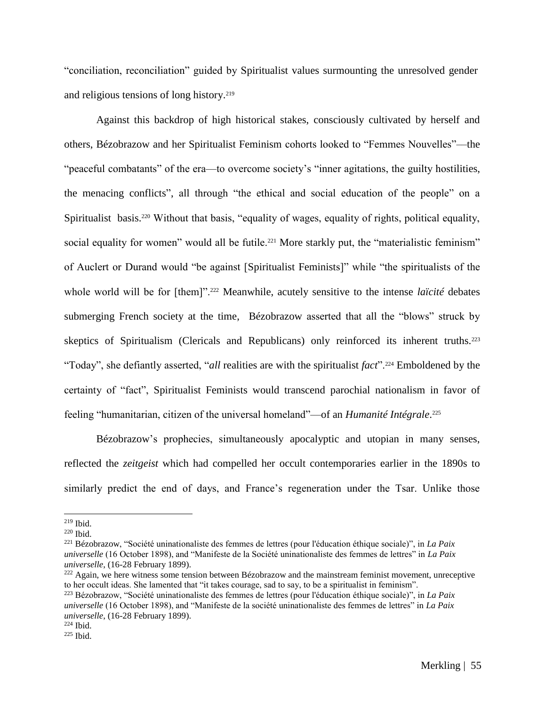"conciliation, reconciliation" guided by Spiritualist values surmounting the unresolved gender and religious tensions of long history.<sup>219</sup>

Against this backdrop of high historical stakes, consciously cultivated by herself and others, Bézobrazow and her Spiritualist Feminism cohorts looked to "Femmes Nouvelles"––the "peaceful combatants" of the era––to overcome society's "inner agitations, the guilty hostilities, the menacing conflicts", all through "the ethical and social education of the people" on a Spiritualist basis.<sup>220</sup> Without that basis, "equality of wages, equality of rights, political equality, social equality for women" would all be futile.<sup>221</sup> More starkly put, the "materialistic feminism" of Auclert or Durand would "be against [Spiritualist Feminists]" while "the spiritualists of the whole world will be for [them]".<sup>222</sup> Meanwhile, acutely sensitive to the intense *laïcité* debates submerging French society at the time, Bézobrazow asserted that all the "blows" struck by skeptics of Spiritualism (Clericals and Republicans) only reinforced its inherent truths.<sup>223</sup> "Today", she defiantly asserted, "*all* realities are with the spiritualist *fact*".<sup>224</sup> Emboldened by the certainty of "fact", Spiritualist Feminists would transcend parochial nationalism in favor of feeling "humanitarian, citizen of the universal homeland"––of an *Humanité Intégrale*. 225

Bézobrazow's prophecies, simultaneously apocalyptic and utopian in many senses, reflected the *zeitgeist* which had compelled her occult contemporaries earlier in the 1890s to similarly predict the end of days, and France's regeneration under the Tsar. Unlike those

<sup>219</sup> Ibid.

<sup>220</sup> Ibid.

<sup>221</sup> Bézobrazow, "Société uninationaliste des femmes de lettres (pour l'éducation éthique sociale)", in *La Paix universelle* (16 October 1898), and "Manifeste de la Société uninationaliste des femmes de lettres" in *La Paix universelle*, (16-28 February 1899).

 $222$  Again, we here witness some tension between Bézobrazow and the mainstream feminist movement, unreceptive to her occult ideas. She lamented that "it takes courage, sad to say, to be a spiritualist in feminism".

<sup>223</sup> Bézobrazow, "Société uninationaliste des femmes de lettres (pour l'éducation éthique sociale)", in *La Paix universelle* (16 October 1898), and "Manifeste de la société uninationaliste des femmes de lettres" in *La Paix universelle*, (16-28 February 1899).

<sup>224</sup> Ibid.

<sup>225</sup> Ibid.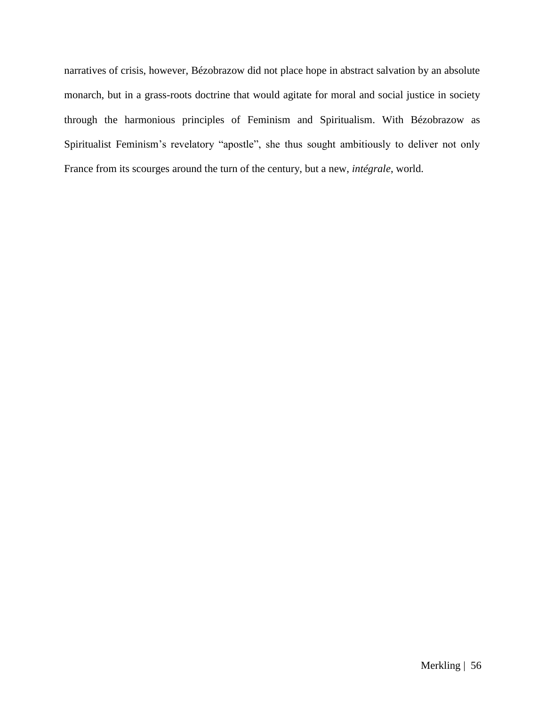narratives of crisis, however, Bézobrazow did not place hope in abstract salvation by an absolute monarch, but in a grass-roots doctrine that would agitate for moral and social justice in society through the harmonious principles of Feminism and Spiritualism. With Bézobrazow as Spiritualist Feminism's revelatory "apostle", she thus sought ambitiously to deliver not only France from its scourges around the turn of the century, but a new, *intégrale*, world.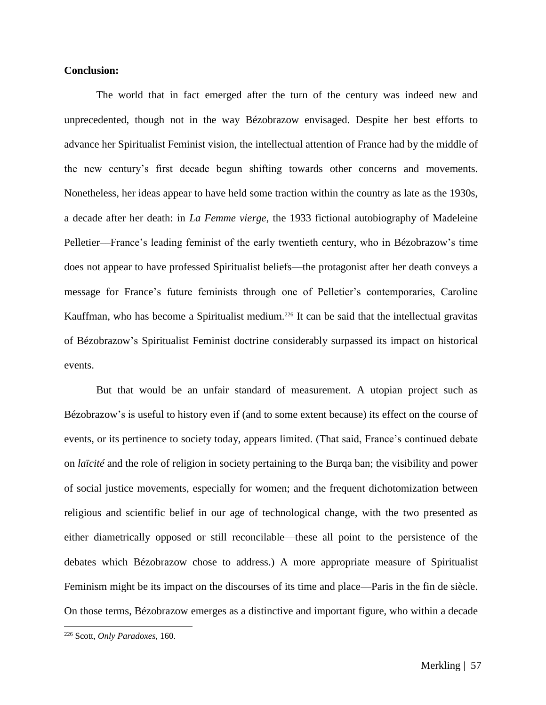#### **Conclusion:**

The world that in fact emerged after the turn of the century was indeed new and unprecedented, though not in the way Bézobrazow envisaged. Despite her best efforts to advance her Spiritualist Feminist vision, the intellectual attention of France had by the middle of the new century's first decade begun shifting towards other concerns and movements. Nonetheless, her ideas appear to have held some traction within the country as late as the 1930s, a decade after her death: in *La Femme vierge*, the 1933 fictional autobiography of Madeleine Pelletier––France's leading feminist of the early twentieth century, who in Bézobrazow's time does not appear to have professed Spiritualist beliefs––the protagonist after her death conveys a message for France's future feminists through one of Pelletier's contemporaries, Caroline Kauffman, who has become a Spiritualist medium.<sup>226</sup> It can be said that the intellectual gravitas of Bézobrazow's Spiritualist Feminist doctrine considerably surpassed its impact on historical events.

But that would be an unfair standard of measurement. A utopian project such as Bézobrazow's is useful to history even if (and to some extent because) its effect on the course of events, or its pertinence to society today, appears limited. (That said, France's continued debate on *laïcité* and the role of religion in society pertaining to the Burqa ban; the visibility and power of social justice movements, especially for women; and the frequent dichotomization between religious and scientific belief in our age of technological change, with the two presented as either diametrically opposed or still reconcilable––these all point to the persistence of the debates which Bézobrazow chose to address.) A more appropriate measure of Spiritualist Feminism might be its impact on the discourses of its time and place—Paris in the fin de siècle. On those terms, Bézobrazow emerges as a distinctive and important figure, who within a decade

<sup>226</sup> Scott, *Only Paradoxes*, 160.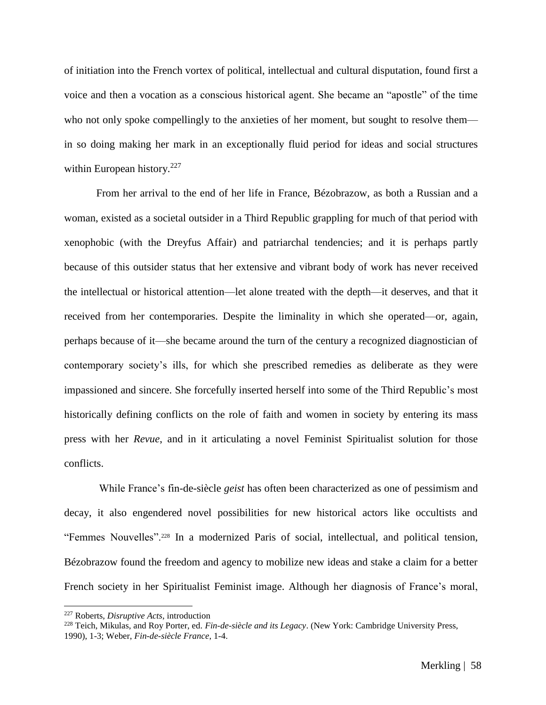of initiation into the French vortex of political, intellectual and cultural disputation, found first a voice and then a vocation as a conscious historical agent. She became an "apostle" of the time who not only spoke compellingly to the anxieties of her moment, but sought to resolve them in so doing making her mark in an exceptionally fluid period for ideas and social structures within European history.<sup>227</sup>

From her arrival to the end of her life in France, Bézobrazow, as both a Russian and a woman, existed as a societal outsider in a Third Republic grappling for much of that period with xenophobic (with the Dreyfus Affair) and patriarchal tendencies; and it is perhaps partly because of this outsider status that her extensive and vibrant body of work has never received the intellectual or historical attention—let alone treated with the depth—it deserves, and that it received from her contemporaries. Despite the liminality in which she operated—or, again, perhaps because of it––she became around the turn of the century a recognized diagnostician of contemporary society's ills, for which she prescribed remedies as deliberate as they were impassioned and sincere. She forcefully inserted herself into some of the Third Republic's most historically defining conflicts on the role of faith and women in society by entering its mass press with her *Revue*, and in it articulating a novel Feminist Spiritualist solution for those conflicts.

While France's fin-de-siècle *geist* has often been characterized as one of pessimism and decay, it also engendered novel possibilities for new historical actors like occultists and "Femmes Nouvelles".<sup>228</sup> In a modernized Paris of social, intellectual, and political tension, Bézobrazow found the freedom and agency to mobilize new ideas and stake a claim for a better French society in her Spiritualist Feminist image. Although her diagnosis of France's moral,

<sup>227</sup> Roberts, *Disruptive Acts*, introduction

<sup>228</sup> Teich, Mikulas, and Roy Porter, ed. *Fin-de-siècle and its Legacy*. (New York: Cambridge University Press, 1990), 1-3; Weber, *Fin-de-siècle France*, 1-4.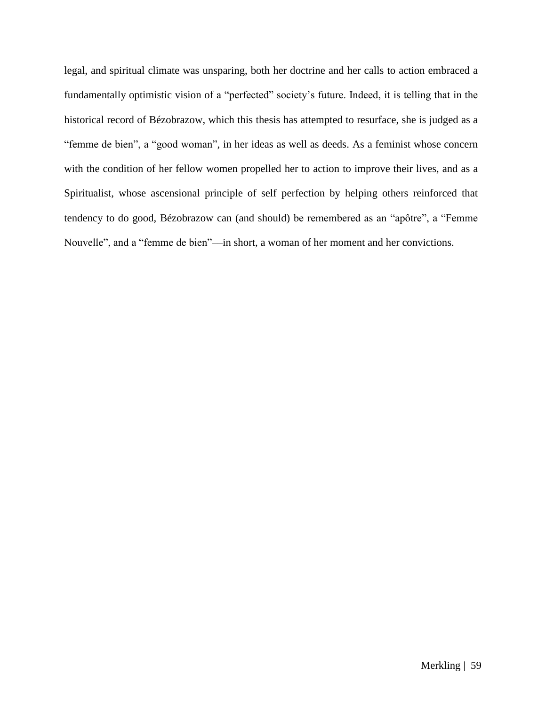legal, and spiritual climate was unsparing, both her doctrine and her calls to action embraced a fundamentally optimistic vision of a "perfected" society's future. Indeed, it is telling that in the historical record of Bézobrazow, which this thesis has attempted to resurface, she is judged as a "femme de bien", a "good woman", in her ideas as well as deeds. As a feminist whose concern with the condition of her fellow women propelled her to action to improve their lives, and as a Spiritualist, whose ascensional principle of self perfection by helping others reinforced that tendency to do good, Bézobrazow can (and should) be remembered as an "apôtre", a "Femme Nouvelle", and a "femme de bien"––in short, a woman of her moment and her convictions.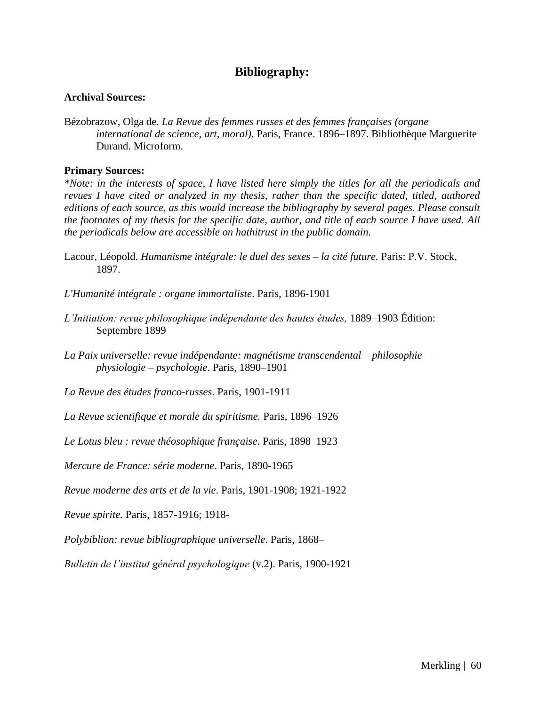## **Bibliography:**

## **Archival Sources:**

Bézobrazow, Olga de. *La Revue des femmes russes et des femmes françaises (organe international de science, art, moral)*. Paris, France. 1896–1897. Bibliothèque Marguerite Durand. Microform.

## **Primary Sources:**

*\*Note: in the interests of space, I have listed here simply the titles for all the periodicals and revues I have cited or analyzed in my thesis, rather than the specific dated, titled, authored editions of each source, as this would increase the bibliography by several pages. Please consult the footnotes of my thesis for the specific date, author, and title of each source I have used. All the periodicals below are accessible on hathitrust in the public domain.*

- Lacour, Léopold. *Humanisme intégrale: le duel des sexes – la cité future.* Paris: P.V. Stock, 1897.
- *L'Humanité intégrale : organe immortaliste*. Paris, 1896-1901
- *L'Initiation: revue philosophique indépendante des hautes études,* 1889–1903 Édition: Septembre 1899
- *La Paix universelle: revue indépendante: magnétisme transcendental – philosophie – physiologie – psychologie*. Paris, 1890–1901
- *La Revue des études franco-russes*. Paris, 1901-1911
- *La Revue scientifique et morale du spiritisme.* Paris, 1896–1926
- *Le Lotus bleu : revue théosophique française*. Paris, 1898–1923
- *Mercure de France: série moderne*. Paris, 1890-1965
- *Revue moderne des arts et de la vie*. Paris, 1901-1908; 1921-1922
- *Revue spirite.* Paris, 1857-1916; 1918-
- *Polybiblion: revue bibliographique universelle*. Paris, 1868–
- *Bulletin de l'institut général psychologique* (v.2). Paris, 1900-1921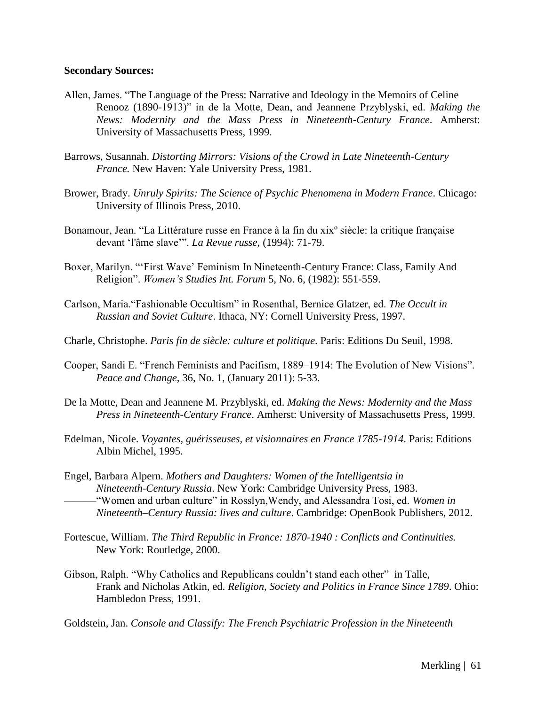#### **Secondary Sources:**

- Allen, James. "The Language of the Press: Narrative and Ideology in the Memoirs of Celine Renooz (1890-1913)" in de la Motte, Dean, and Jeannene Przyblyski, ed. *Making the News: Modernity and the Mass Press in Nineteenth-Century France*. Amherst: University of Massachusetts Press, 1999.
- Barrows, Susannah. *Distorting Mirrors: Visions of the Crowd in Late Nineteenth-Century France.* New Haven: Yale University Press, 1981.
- Brower, Brady. *Unruly Spirits: The Science of Psychic Phenomena in Modern France*. Chicago: University of Illinois Press, 2010.
- Bonamour, Jean. "La Littérature russe en France à la fin du xixº siècle: la critique française devant 'l'âme slave'". *La Revue russe*, (1994): 71-79.
- Boxer, Marilyn. "'First Wave' Feminism In Nineteenth-Century France: Class, Family And Religion". *Women's Studies Int. Forum* 5, No. 6, (1982): 551-559.
- Carlson, Maria."Fashionable Occultism" in Rosenthal, Bernice Glatzer, ed. *The Occult in Russian and Soviet Culture*. Ithaca, NY: Cornell University Press, 1997.
- Charle, Christophe. *Paris fin de siècle: culture et politique*. Paris: Editions Du Seuil, 1998.
- Cooper, Sandi E. "French Feminists and Pacifism, 1889–1914: The Evolution of New Visions". *Peace and Change,* 36, No. 1, (January 2011): 5-33.
- De la Motte, Dean and Jeannene M. Przyblyski, ed. *Making the News: Modernity and the Mass Press in Nineteenth-Century France*. Amherst: University of Massachusetts Press, 1999.
- Edelman, Nicole. *Voyantes, guérisseuses, et visionnaires en France 1785-1914*. Paris: Editions Albin Michel, 1995.
- Engel, Barbara Alpern. *Mothers and Daughters: Women of the Intelligentsia in Nineteenth-Century Russia*. New York: Cambridge University Press, 1983. ––––––"Women and urban culture" in Rosslyn,Wendy, and Alessandra Tosi, ed. *Women in Nineteenth–Century Russia: lives and culture*. Cambridge: OpenBook Publishers, 2012.
- Fortescue, William. *The Third Republic in France: 1870-1940 : Conflicts and Continuities.*  New York: Routledge, 2000.
- Gibson, Ralph. "Why Catholics and Republicans couldn't stand each other" in Talle, Frank and Nicholas Atkin, ed. *Religion, Society and Politics in France Since 1789*. Ohio: Hambledon Press, 1991.

Goldstein, Jan. *Console and Classify: The French Psychiatric Profession in the Nineteenth*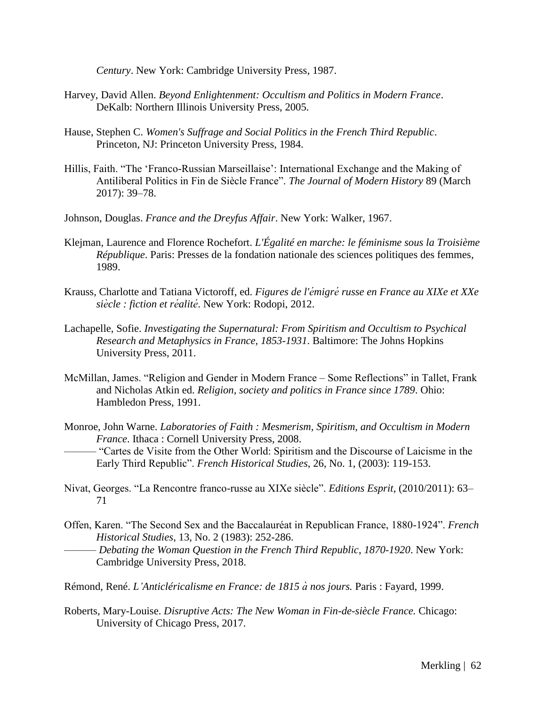*Century*. New York: Cambridge University Press, 1987.

- Harvey, David Allen. *Beyond Enlightenment: Occultism and Politics in Modern France*. DeKalb: Northern Illinois University Press, 2005.
- Hause, Stephen C. *Women's Suffrage and Social Politics in the French Third Republic*. Princeton, NJ: Princeton University Press, 1984.
- Hillis, Faith. "The 'Franco-Russian Marseillaise': International Exchange and the Making of Antiliberal Politics in Fin de Siècle France". *The Journal of Modern History* 89 (March 2017): 39–78.
- Johnson, Douglas. *France and the Dreyfus Affair*. New York: Walker, 1967.
- Klejman, Laurence and Florence Rochefort. *L'Égalité en marche: le féminisme sous la Troisième République*. Paris: Presses de la fondation nationale des sciences politiques des femmes, 1989.
- Krauss, Charlotte and Tatiana Victoroff, ed. *Figures de l'émigré russe en France au XIXe et XXe siècle : fiction et réalité* . New York: Rodopi, 2012.
- Lachapelle, Sofie. *Investigating the Supernatural: From Spiritism and Occultism to Psychical Research and Metaphysics in France, 1853-1931*. Baltimore: The Johns Hopkins University Press, 2011.
- McMillan, James. "Religion and Gender in Modern France Some Reflections" in Tallet, Frank and Nicholas Atkin ed. *Religion, society and politics in France since 1789*. Ohio: Hambledon Press, 1991.
- Monroe, John Warne. *Laboratories of Faith : Mesmerism, Spiritism, and Occultism in Modern France*. Ithaca : Cornell University Press, 2008.

*––––––* "Cartes de Visite from the Other World: Spiritism and the Discourse of Laicisme in the Early Third Republic". *French Historical Studies*, 26, No. 1, (2003): 119-153.

- Nivat, Georges. "La Rencontre franco-russe au XIXe siècle". *Editions Esprit*, (2010/2011): 63– 71
- Offen, Karen. "The Second Sex and the Baccalauréat in Republican France, 1880-1924". *French Historical Studies*, 13, No. 2 (1983): 252-286.

–––––– *Debating the Woman Question in the French Third Republic*, *1870-1920*. New York: Cambridge University Press, 2018.

- Rémond, René. *L'Anticléricalisme en France: de 1815 à nos jours.* Paris : Fayard, 1999.
- Roberts, Mary-Louise. *Disruptive Acts: The New Woman in Fin-de-siècle France.* Chicago: University of Chicago Press, 2017.